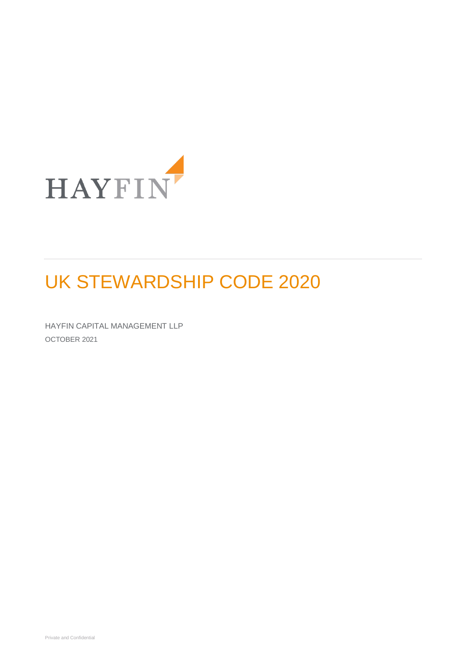

# UK STEWARDSHIP CODE 2020

HAYFIN CAPITAL MANAGEMENT LLP OCTOBER 2021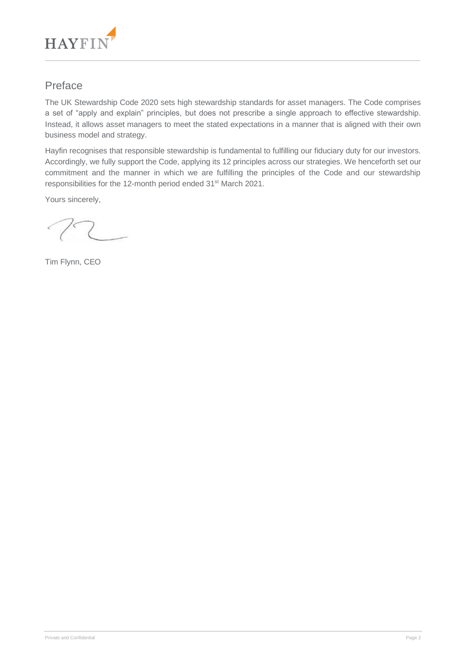

## Preface

The UK Stewardship Code 2020 sets high stewardship standards for asset managers. The Code comprises a set of "apply and explain" principles, but does not prescribe a single approach to effective stewardship. Instead, it allows asset managers to meet the stated expectations in a manner that is aligned with their own business model and strategy.

Hayfin recognises that responsible stewardship is fundamental to fulfilling our fiduciary duty for our investors. Accordingly, we fully support the Code, applying its 12 principles across our strategies. We henceforth set our commitment and the manner in which we are fulfilling the principles of the Code and our stewardship responsibilities for the 12-month period ended 31<sup>st</sup> March 2021.

Yours sincerely,

Tim Flynn, CEO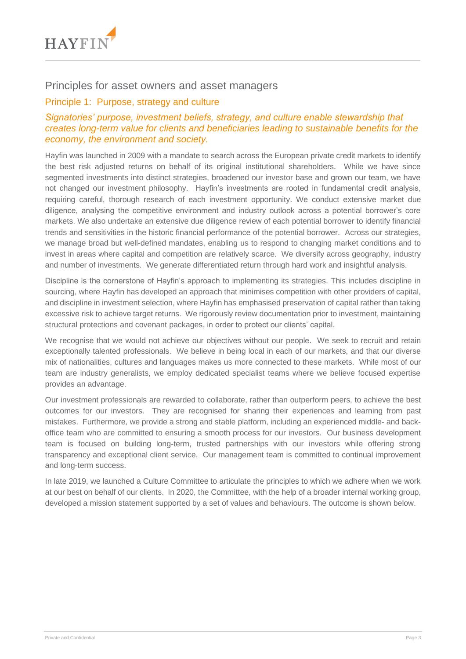

## Principles for asset owners and asset managers

## Principle 1: Purpose, strategy and culture

## *Signatories' purpose, investment beliefs, strategy, and culture enable stewardship that creates long-term value for clients and beneficiaries leading to sustainable benefits for the economy, the environment and society.*

Hayfin was launched in 2009 with a mandate to search across the European private credit markets to identify the best risk adjusted returns on behalf of its original institutional shareholders. While we have since segmented investments into distinct strategies, broadened our investor base and grown our team, we have not changed our investment philosophy. Hayfin's investments are rooted in fundamental credit analysis, requiring careful, thorough research of each investment opportunity. We conduct extensive market due diligence, analysing the competitive environment and industry outlook across a potential borrower's core markets. We also undertake an extensive due diligence review of each potential borrower to identify financial trends and sensitivities in the historic financial performance of the potential borrower. Across our strategies, we manage broad but well-defined mandates, enabling us to respond to changing market conditions and to invest in areas where capital and competition are relatively scarce. We diversify across geography, industry and number of investments. We generate differentiated return through hard work and insightful analysis.

Discipline is the cornerstone of Hayfin's approach to implementing its strategies. This includes discipline in sourcing, where Hayfin has developed an approach that minimises competition with other providers of capital, and discipline in investment selection, where Hayfin has emphasised preservation of capital rather than taking excessive risk to achieve target returns. We rigorously review documentation prior to investment, maintaining structural protections and covenant packages, in order to protect our clients' capital.

We recognise that we would not achieve our objectives without our people. We seek to recruit and retain exceptionally talented professionals. We believe in being local in each of our markets, and that our diverse mix of nationalities, cultures and languages makes us more connected to these markets. While most of our team are industry generalists, we employ dedicated specialist teams where we believe focused expertise provides an advantage.

Our investment professionals are rewarded to collaborate, rather than outperform peers, to achieve the best outcomes for our investors. They are recognised for sharing their experiences and learning from past mistakes. Furthermore, we provide a strong and stable platform, including an experienced middle- and backoffice team who are committed to ensuring a smooth process for our investors. Our business development team is focused on building long-term, trusted partnerships with our investors while offering strong transparency and exceptional client service. Our management team is committed to continual improvement and long-term success.

In late 2019, we launched a Culture Committee to articulate the principles to which we adhere when we work at our best on behalf of our clients. In 2020, the Committee, with the help of a broader internal working group, developed a mission statement supported by a set of values and behaviours. The outcome is shown below.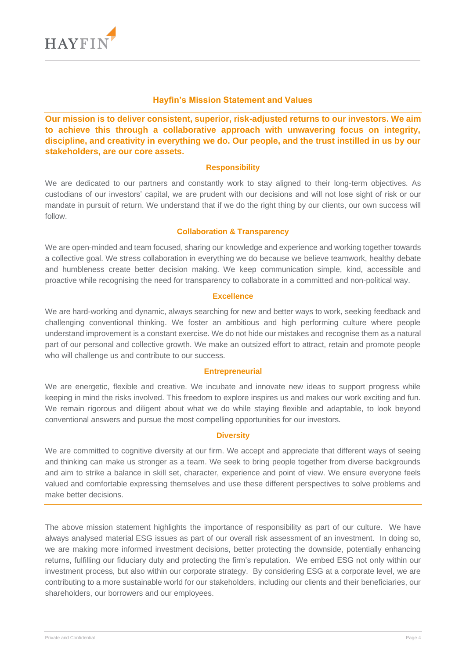

#### **Hayfin's Mission Statement and Values**

**Our mission is to deliver consistent, superior, risk-adjusted returns to our investors. We aim to achieve this through a collaborative approach with unwavering focus on integrity, discipline, and creativity in everything we do. Our people, and the trust instilled in us by our stakeholders, are our core assets.**

#### **Responsibility**

We are dedicated to our partners and constantly work to stay aligned to their long-term objectives. As custodians of our investors' capital, we are prudent with our decisions and will not lose sight of risk or our mandate in pursuit of return. We understand that if we do the right thing by our clients, our own success will follow.

#### **Collaboration & Transparency**

We are open-minded and team focused, sharing our knowledge and experience and working together towards a collective goal. We stress collaboration in everything we do because we believe teamwork, healthy debate and humbleness create better decision making. We keep communication simple, kind, accessible and proactive while recognising the need for transparency to collaborate in a committed and non-political way.

#### **Excellence**

We are hard-working and dynamic, always searching for new and better ways to work, seeking feedback and challenging conventional thinking. We foster an ambitious and high performing culture where people understand improvement is a constant exercise. We do not hide our mistakes and recognise them as a natural part of our personal and collective growth. We make an outsized effort to attract, retain and promote people who will challenge us and contribute to our success.

#### **Entrepreneurial**

We are energetic, flexible and creative. We incubate and innovate new ideas to support progress while keeping in mind the risks involved. This freedom to explore inspires us and makes our work exciting and fun. We remain rigorous and diligent about what we do while staying flexible and adaptable, to look beyond conventional answers and pursue the most compelling opportunities for our investors.

#### **Diversity**

We are committed to cognitive diversity at our firm. We accept and appreciate that different ways of seeing and thinking can make us stronger as a team. We seek to bring people together from diverse backgrounds and aim to strike a balance in skill set, character, experience and point of view. We ensure everyone feels valued and comfortable expressing themselves and use these different perspectives to solve problems and make better decisions.

The above mission statement highlights the importance of responsibility as part of our culture. We have always analysed material ESG issues as part of our overall risk assessment of an investment. In doing so, we are making more informed investment decisions, better protecting the downside, potentially enhancing returns, fulfilling our fiduciary duty and protecting the firm's reputation. We embed ESG not only within our investment process, but also within our corporate strategy. By considering ESG at a corporate level, we are contributing to a more sustainable world for our stakeholders, including our clients and their beneficiaries, our shareholders, our borrowers and our employees.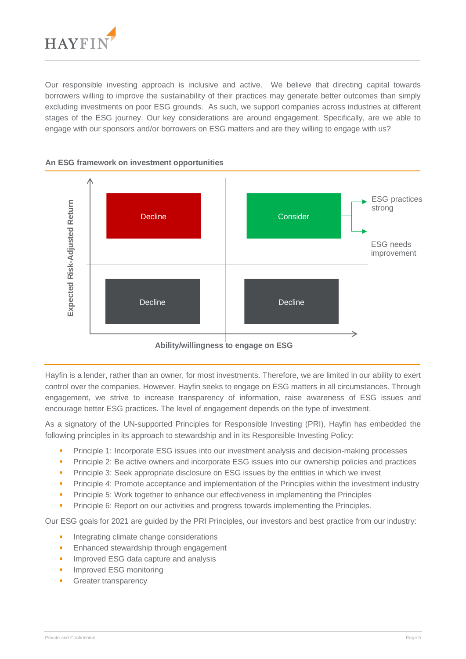

Our responsible investing approach is inclusive and active. We believe that directing capital towards borrowers willing to improve the sustainability of their practices may generate better outcomes than simply excluding investments on poor ESG grounds. As such, we support companies across industries at different stages of the ESG journey. Our key considerations are around engagement. Specifically, are we able to engage with our sponsors and/or borrowers on ESG matters and are they willing to engage with us?



**An ESG framework on investment opportunities**

Hayfin is a lender, rather than an owner, for most investments. Therefore, we are limited in our ability to exert control over the companies. However, Hayfin seeks to engage on ESG matters in all circumstances. Through engagement, we strive to increase transparency of information, raise awareness of ESG issues and encourage better ESG practices. The level of engagement depends on the type of investment.

As a signatory of the UN-supported Principles for Responsible Investing (PRI), Hayfin has embedded the following principles in its approach to stewardship and in its Responsible Investing Policy:

- Principle 1: Incorporate ESG issues into our investment analysis and decision-making processes
- **•** Principle 2: Be active owners and incorporate ESG issues into our ownership policies and practices
- Principle 3: Seek appropriate disclosure on ESG issues by the entities in which we invest
- Principle 4: Promote acceptance and implementation of the Principles within the investment industry
- **•** Principle 5: Work together to enhance our effectiveness in implementing the Principles
- Principle 6: Report on our activities and progress towards implementing the Principles.

Our ESG goals for 2021 are guided by the PRI Principles, our investors and best practice from our industry:

- **■** Integrating climate change considerations
- **Enhanced stewardship through engagement**
- **■** Improved ESG data capture and analysis
- Improved ESG monitoring
-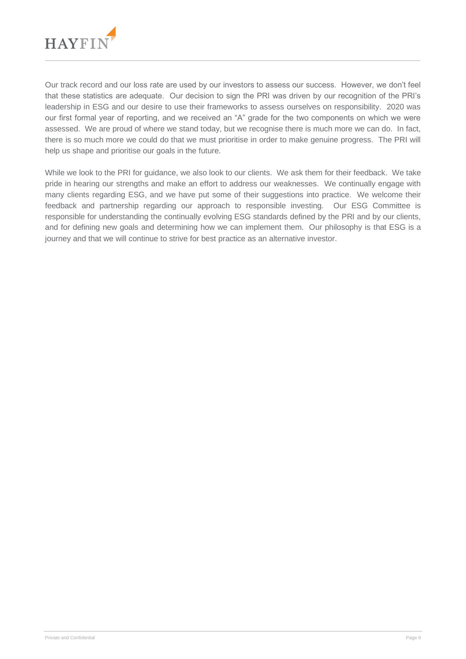

Our track record and our loss rate are used by our investors to assess our success. However, we don't feel that these statistics are adequate. Our decision to sign the PRI was driven by our recognition of the PRI's leadership in ESG and our desire to use their frameworks to assess ourselves on responsibility. 2020 was our first formal year of reporting, and we received an "A" grade for the two components on which we were assessed. We are proud of where we stand today, but we recognise there is much more we can do. In fact, there is so much more we could do that we must prioritise in order to make genuine progress. The PRI will help us shape and prioritise our goals in the future.

While we look to the PRI for guidance, we also look to our clients. We ask them for their feedback. We take pride in hearing our strengths and make an effort to address our weaknesses. We continually engage with many clients regarding ESG, and we have put some of their suggestions into practice. We welcome their feedback and partnership regarding our approach to responsible investing. Our ESG Committee is responsible for understanding the continually evolving ESG standards defined by the PRI and by our clients, and for defining new goals and determining how we can implement them. Our philosophy is that ESG is a journey and that we will continue to strive for best practice as an alternative investor.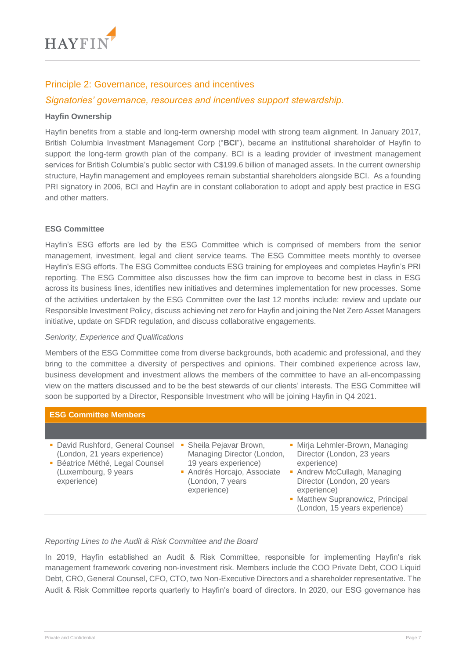

## Principle 2: Governance, resources and incentives

## *Signatories' governance, resources and incentives support stewardship.*

#### **Hayfin Ownership**

Hayfin benefits from a stable and long-term ownership model with strong team alignment. In January 2017, British Columbia Investment Management Corp ("**BCI**"), became an institutional shareholder of Hayfin to support the long-term growth plan of the company. BCI is a leading provider of investment management services for British Columbia's public sector with C\$199.6 billion of managed assets. In the current ownership structure, Hayfin management and employees remain substantial shareholders alongside BCI. As a founding PRI signatory in 2006, BCI and Hayfin are in constant collaboration to adopt and apply best practice in ESG and other matters.

#### **ESG Committee**

Hayfin's ESG efforts are led by the ESG Committee which is comprised of members from the senior management, investment, legal and client service teams. The ESG Committee meets monthly to oversee Hayfin's ESG efforts. The ESG Committee conducts ESG training for employees and completes Hayfin's PRI reporting. The ESG Committee also discusses how the firm can improve to become best in class in ESG across its business lines, identifies new initiatives and determines implementation for new processes. Some of the activities undertaken by the ESG Committee over the last 12 months include: review and update our Responsible Investment Policy, discuss achieving net zero for Hayfin and joining the Net Zero Asset Managers initiative, update on SFDR regulation, and discuss collaborative engagements.

#### *Seniority, Experience and Qualifications*

Members of the ESG Committee come from diverse backgrounds, both academic and professional, and they bring to the committee a diversity of perspectives and opinions. Their combined experience across law, business development and investment allows the members of the committee to have an all-encompassing view on the matters discussed and to be the best stewards of our clients' interests. The ESG Committee will soon be supported by a Director, Responsible Investment who will be joining Hayfin in Q4 2021.

| <b>ESG Committee Members</b>                                                                                                                  |                                                                                                                                               |                                                                                                                                                                                                                                |
|-----------------------------------------------------------------------------------------------------------------------------------------------|-----------------------------------------------------------------------------------------------------------------------------------------------|--------------------------------------------------------------------------------------------------------------------------------------------------------------------------------------------------------------------------------|
|                                                                                                                                               |                                                                                                                                               |                                                                                                                                                                                                                                |
| • David Rushford, General Counsel<br>(London, 21 years experience)<br>• Béatrice Méthé, Legal Counsel<br>(Luxembourg, 9 years)<br>experience) | • Sheila Pejavar Brown,<br>Managing Director (London,<br>19 years experience)<br>Andrés Horcajo, Associate<br>(London, 7 years<br>experience) | • Mirja Lehmler-Brown, Managing<br>Director (London, 23 years<br>experience)<br>• Andrew McCullagh, Managing<br>Director (London, 20 years<br>experience)<br>• Matthew Supranowicz, Principal<br>(London, 15 years experience) |

#### *Reporting Lines to the Audit & Risk Committee and the Board*

In 2019, Hayfin established an Audit & Risk Committee, responsible for implementing Hayfin's risk management framework covering non-investment risk. Members include the COO Private Debt, COO Liquid Debt, CRO, General Counsel, CFO, CTO, two Non-Executive Directors and a shareholder representative. The Audit & Risk Committee reports quarterly to Hayfin's board of directors. In 2020, our ESG governance has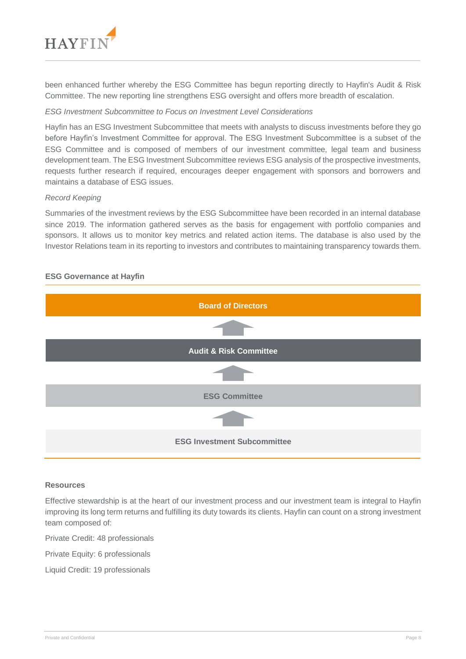

been enhanced further whereby the ESG Committee has begun reporting directly to Hayfin's Audit & Risk Committee. The new reporting line strengthens ESG oversight and offers more breadth of escalation.

#### *ESG Investment Subcommittee to Focus on Investment Level Considerations*

Hayfin has an ESG Investment Subcommittee that meets with analysts to discuss investments before they go before Hayfin's Investment Committee for approval. The ESG Investment Subcommittee is a subset of the ESG Committee and is composed of members of our investment committee, legal team and business development team. The ESG Investment Subcommittee reviews ESG analysis of the prospective investments, requests further research if required, encourages deeper engagement with sponsors and borrowers and maintains a database of ESG issues.

#### *Record Keeping*

Summaries of the investment reviews by the ESG Subcommittee have been recorded in an internal database since 2019. The information gathered serves as the basis for engagement with portfolio companies and sponsors. It allows us to monitor key metrics and related action items. The database is also used by the Investor Relations team in its reporting to investors and contributes to maintaining transparency towards them.

## **ESG Governance at Hayfin**



#### **Resources**

Effective stewardship is at the heart of our investment process and our investment team is integral to Hayfin improving its long term returns and fulfilling its duty towards its clients. Hayfin can count on a strong investment team composed of:

Private Credit: 48 professionals

Private Equity: 6 professionals

Liquid Credit: 19 professionals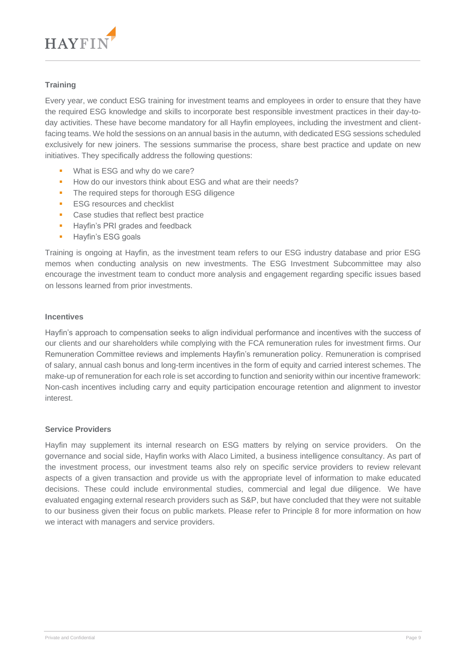

## **Training**

Every year, we conduct ESG training for investment teams and employees in order to ensure that they have the required ESG knowledge and skills to incorporate best responsible investment practices in their day-today activities. These have become mandatory for all Hayfin employees, including the investment and clientfacing teams. We hold the sessions on an annual basis in the autumn, with dedicated ESG sessions scheduled exclusively for new joiners. The sessions summarise the process, share best practice and update on new initiatives. They specifically address the following questions:

- What is ESG and why do we care?
- How do our investors think about ESG and what are their needs?
- The required steps for thorough ESG diligence
- ESG resources and checklist
- Case studies that reflect best practice
- **■** Hayfin's PRI grades and feedback
- **EXECUTE:** Havfin's ESG goals

Training is ongoing at Hayfin, as the investment team refers to our ESG industry database and prior ESG memos when conducting analysis on new investments. The ESG Investment Subcommittee may also encourage the investment team to conduct more analysis and engagement regarding specific issues based on lessons learned from prior investments.

#### **Incentives**

Hayfin's approach to compensation seeks to align individual performance and incentives with the success of our clients and our shareholders while complying with the FCA remuneration rules for investment firms. Our Remuneration Committee reviews and implements Hayfin's remuneration policy. Remuneration is comprised of salary, annual cash bonus and long-term incentives in the form of equity and carried interest schemes. The make-up of remuneration for each role is set according to function and seniority within our incentive framework: Non-cash incentives including carry and equity participation encourage retention and alignment to investor interest.

#### **Service Providers**

Hayfin may supplement its internal research on ESG matters by relying on service providers. On the governance and social side, Hayfin works with Alaco Limited, a business intelligence consultancy. As part of the investment process, our investment teams also rely on specific service providers to review relevant aspects of a given transaction and provide us with the appropriate level of information to make educated decisions. These could include environmental studies, commercial and legal due diligence. We have evaluated engaging external research providers such as S&P, but have concluded that they were not suitable to our business given their focus on public markets. Please refer to Principle 8 for more information on how we interact with managers and service providers.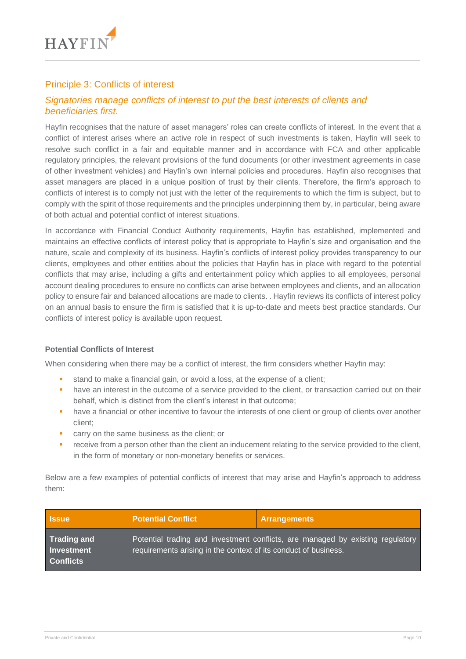

## Principle 3: Conflicts of interest

## *Signatories manage conflicts of interest to put the best interests of clients and beneficiaries first.*

Hayfin recognises that the nature of asset managers' roles can create conflicts of interest. In the event that a conflict of interest arises where an active role in respect of such investments is taken, Hayfin will seek to resolve such conflict in a fair and equitable manner and in accordance with FCA and other applicable regulatory principles, the relevant provisions of the fund documents (or other investment agreements in case of other investment vehicles) and Hayfin's own internal policies and procedures. Hayfin also recognises that asset managers are placed in a unique position of trust by their clients. Therefore, the firm's approach to conflicts of interest is to comply not just with the letter of the requirements to which the firm is subject, but to comply with the spirit of those requirements and the principles underpinning them by, in particular, being aware of both actual and potential conflict of interest situations.

In accordance with Financial Conduct Authority requirements, Hayfin has established, implemented and maintains an effective conflicts of interest policy that is appropriate to Hayfin's size and organisation and the nature, scale and complexity of its business. Hayfin's conflicts of interest policy provides transparency to our clients, employees and other entities about the policies that Hayfin has in place with regard to the potential conflicts that may arise, including a gifts and entertainment policy which applies to all employees, personal account dealing procedures to ensure no conflicts can arise between employees and clients, and an allocation policy to ensure fair and balanced allocations are made to clients. . Hayfin reviews its conflicts of interest policy on an annual basis to ensure the firm is satisfied that it is up-to-date and meets best practice standards. Our conflicts of interest policy is available upon request.

#### **Potential Conflicts of Interest**

When considering when there may be a conflict of interest, the firm considers whether Hayfin may:

- **EXECT** stand to make a financial gain, or avoid a loss, at the expense of a client;
- have an interest in the outcome of a service provided to the client, or transaction carried out on their behalf, which is distinct from the client's interest in that outcome;
- **•** have a financial or other incentive to favour the interests of one client or group of clients over another client;
- carry on the same business as the client; or
- **•** receive from a person other than the client an inducement relating to the service provided to the client, in the form of monetary or non-monetary benefits or services.

Below are a few examples of potential conflicts of interest that may arise and Hayfin's approach to address them:

| <b>Issue</b>                                                | <b>Potential Conflict</b>                                       | Arrangements                                                                   |
|-------------------------------------------------------------|-----------------------------------------------------------------|--------------------------------------------------------------------------------|
| <b>Trading and</b><br><b>Investment</b><br><b>Conflicts</b> | requirements arising in the context of its conduct of business. | Potential trading and investment conflicts, are managed by existing regulatory |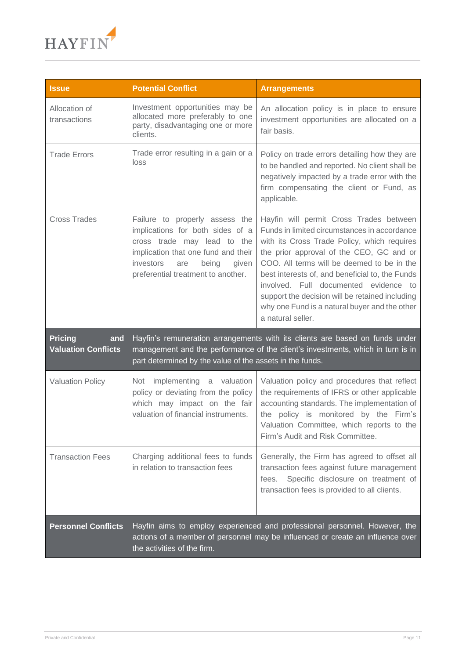

| <b>Issue</b>                                        | <b>Potential Conflict</b>                                                                                                                                                                                                   | <b>Arrangements</b>                                                                                                                                                                                                                                                                                                                                                                                                                                   |
|-----------------------------------------------------|-----------------------------------------------------------------------------------------------------------------------------------------------------------------------------------------------------------------------------|-------------------------------------------------------------------------------------------------------------------------------------------------------------------------------------------------------------------------------------------------------------------------------------------------------------------------------------------------------------------------------------------------------------------------------------------------------|
| Allocation of<br>transactions                       | Investment opportunities may be<br>allocated more preferably to one<br>party, disadvantaging one or more<br>clients.                                                                                                        | An allocation policy is in place to ensure<br>investment opportunities are allocated on a<br>fair basis.                                                                                                                                                                                                                                                                                                                                              |
| <b>Trade Errors</b>                                 | Trade error resulting in a gain or a<br>loss                                                                                                                                                                                | Policy on trade errors detailing how they are<br>to be handled and reported. No client shall be<br>negatively impacted by a trade error with the<br>firm compensating the client or Fund, as<br>applicable.                                                                                                                                                                                                                                           |
| <b>Cross Trades</b>                                 | Failure to properly assess the<br>implications for both sides of a<br>cross trade may lead to the<br>implication that one fund and their<br>investors<br>being<br>given<br>are<br>preferential treatment to another.        | Hayfin will permit Cross Trades between<br>Funds in limited circumstances in accordance<br>with its Cross Trade Policy, which requires<br>the prior approval of the CEO, GC and or<br>COO. All terms will be deemed to be in the<br>best interests of, and beneficial to, the Funds<br>involved. Full documented evidence to<br>support the decision will be retained including<br>why one Fund is a natural buyer and the other<br>a natural seller. |
| <b>Pricing</b><br>and<br><b>Valuation Conflicts</b> | Hayfin's remuneration arrangements with its clients are based on funds under<br>management and the performance of the client's investments, which in turn is in<br>part determined by the value of the assets in the funds. |                                                                                                                                                                                                                                                                                                                                                                                                                                                       |
| <b>Valuation Policy</b>                             | implementing a valuation<br>Not<br>policy or deviating from the policy<br>which may impact on the fair<br>valuation of financial instruments.                                                                               | Valuation policy and procedures that reflect<br>the requirements of IFRS or other applicable<br>accounting standards. The implementation of<br>the policy is monitored by the Firm's<br>Valuation Committee, which reports to the<br>Firm's Audit and Risk Committee.                                                                                                                                                                                 |
| <b>Transaction Fees</b>                             | Charging additional fees to funds<br>in relation to transaction fees                                                                                                                                                        | Generally, the Firm has agreed to offset all<br>transaction fees against future management<br>Specific disclosure on treatment of<br>fees.<br>transaction fees is provided to all clients.                                                                                                                                                                                                                                                            |
| <b>Personnel Conflicts</b>                          | the activities of the firm.                                                                                                                                                                                                 | Hayfin aims to employ experienced and professional personnel. However, the<br>actions of a member of personnel may be influenced or create an influence over                                                                                                                                                                                                                                                                                          |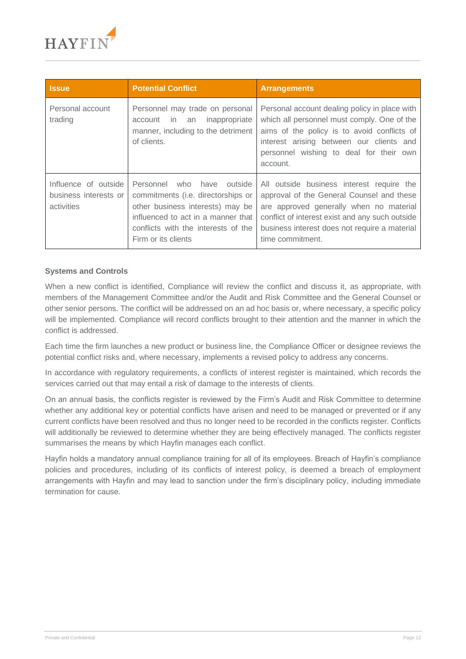

| <b>Issue</b>                                                | <b>Potential Conflict</b>                                                                                                                                                                                   | <b>Arrangements</b>                                                                                                                                                                                                                                       |
|-------------------------------------------------------------|-------------------------------------------------------------------------------------------------------------------------------------------------------------------------------------------------------------|-----------------------------------------------------------------------------------------------------------------------------------------------------------------------------------------------------------------------------------------------------------|
| Personal account<br>trading                                 | Personnel may trade on personal<br>inappropriate<br>in an<br>account<br>manner, including to the detriment<br>of clients.                                                                                   | Personal account dealing policy in place with<br>which all personnel must comply. One of the<br>aims of the policy is to avoid conflicts of<br>interest arising between our clients and<br>personnel wishing to deal for their own<br>account.            |
| Influence of outside<br>business interests or<br>activities | Personnel who have<br>outside<br>commitments (i.e. directorships or<br>other business interests) may be<br>influenced to act in a manner that<br>conflicts with the interests of the<br>Firm or its clients | All outside business interest require the<br>approval of the General Counsel and these<br>are approved generally when no material<br>conflict of interest exist and any such outside<br>business interest does not require a material<br>time commitment. |

#### **Systems and Controls**

When a new conflict is identified, Compliance will review the conflict and discuss it, as appropriate, with members of the Management Committee and/or the Audit and Risk Committee and the General Counsel or other senior persons. The conflict will be addressed on an ad hoc basis or, where necessary, a specific policy will be implemented. Compliance will record conflicts brought to their attention and the manner in which the conflict is addressed.

Each time the firm launches a new product or business line, the Compliance Officer or designee reviews the potential conflict risks and, where necessary, implements a revised policy to address any concerns.

In accordance with regulatory requirements, a conflicts of interest register is maintained, which records the services carried out that may entail a risk of damage to the interests of clients.

On an annual basis, the conflicts register is reviewed by the Firm's Audit and Risk Committee to determine whether any additional key or potential conflicts have arisen and need to be managed or prevented or if any current conflicts have been resolved and thus no longer need to be recorded in the conflicts register. Conflicts will additionally be reviewed to determine whether they are being effectively managed. The conflicts register summarises the means by which Hayfin manages each conflict.

Hayfin holds a mandatory annual compliance training for all of its employees. Breach of Hayfin's compliance policies and procedures, including of its conflicts of interest policy, is deemed a breach of employment arrangements with Hayfin and may lead to sanction under the firm's disciplinary policy, including immediate termination for cause.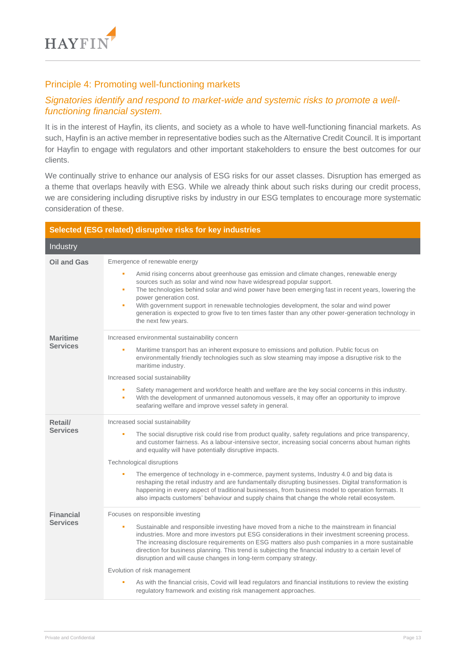

## Principle 4: Promoting well-functioning markets

## *Signatories identify and respond to market-wide and systemic risks to promote a wellfunctioning financial system.*

It is in the interest of Hayfin, its clients, and society as a whole to have well-functioning financial markets. As such, Hayfin is an active member in representative bodies such as the Alternative Credit Council. It is important for Hayfin to engage with regulators and other important stakeholders to ensure the best outcomes for our clients.

We continually strive to enhance our analysis of ESG risks for our asset classes. Disruption has emerged as a theme that overlaps heavily with ESG. While we already think about such risks during our credit process, we are considering including disruptive risks by industry in our ESG templates to encourage more systematic consideration of these.

|                            | Selected (ESG related) disruptive risks for key industries                                                                                                                                                                                                                                                                                                                                                                                                                                                                                |
|----------------------------|-------------------------------------------------------------------------------------------------------------------------------------------------------------------------------------------------------------------------------------------------------------------------------------------------------------------------------------------------------------------------------------------------------------------------------------------------------------------------------------------------------------------------------------------|
| Industry                   |                                                                                                                                                                                                                                                                                                                                                                                                                                                                                                                                           |
| Oil and Gas                | Emergence of renewable energy                                                                                                                                                                                                                                                                                                                                                                                                                                                                                                             |
|                            | Amid rising concerns about greenhouse gas emission and climate changes, renewable energy<br>٠<br>sources such as solar and wind now have widespread popular support.<br>The technologies behind solar and wind power have been emerging fast in recent years, lowering the<br>٠<br>power generation cost.<br>With government support in renewable technologies development, the solar and wind power<br>٠<br>generation is expected to grow five to ten times faster than any other power-generation technology in<br>the next few years. |
| <b>Maritime</b>            | Increased environmental sustainability concern                                                                                                                                                                                                                                                                                                                                                                                                                                                                                            |
| <b>Services</b>            | Maritime transport has an inherent exposure to emissions and pollution. Public focus on<br>٠<br>environmentally friendly technologies such as slow steaming may impose a disruptive risk to the<br>maritime industry.                                                                                                                                                                                                                                                                                                                     |
|                            | Increased social sustainability                                                                                                                                                                                                                                                                                                                                                                                                                                                                                                           |
|                            | Safety management and workforce health and welfare are the key social concerns in this industry.<br>٠<br>With the development of unmanned autonomous vessels, it may offer an opportunity to improve<br>٠<br>seafaring welfare and improve vessel safety in general.                                                                                                                                                                                                                                                                      |
| Retail/<br><b>Services</b> | Increased social sustainability                                                                                                                                                                                                                                                                                                                                                                                                                                                                                                           |
|                            | The social disruptive risk could rise from product quality, safety regulations and price transparency,<br>and customer fairness. As a labour-intensive sector, increasing social concerns about human rights<br>and equality will have potentially disruptive impacts.                                                                                                                                                                                                                                                                    |
|                            | Technological disruptions                                                                                                                                                                                                                                                                                                                                                                                                                                                                                                                 |
|                            | The emergence of technology in e-commerce, payment systems, Industry 4.0 and big data is<br>à,<br>reshaping the retail industry and are fundamentally disrupting businesses. Digital transformation is<br>happening in every aspect of traditional businesses, from business model to operation formats. It<br>also impacts customers' behaviour and supply chains that change the whole retail ecosystem.                                                                                                                                |
| <b>Financial</b>           | Focuses on responsible investing                                                                                                                                                                                                                                                                                                                                                                                                                                                                                                          |
| <b>Services</b>            | Sustainable and responsible investing have moved from a niche to the mainstream in financial<br>ú,<br>industries. More and more investors put ESG considerations in their investment screening process.<br>The increasing disclosure requirements on ESG matters also push companies in a more sustainable<br>direction for business planning. This trend is subjecting the financial industry to a certain level of<br>disruption and will cause changes in long-term company strategy.                                                  |
|                            | Evolution of risk management                                                                                                                                                                                                                                                                                                                                                                                                                                                                                                              |
|                            | As with the financial crisis, Covid will lead regulators and financial institutions to review the existing<br>regulatory framework and existing risk management approaches.                                                                                                                                                                                                                                                                                                                                                               |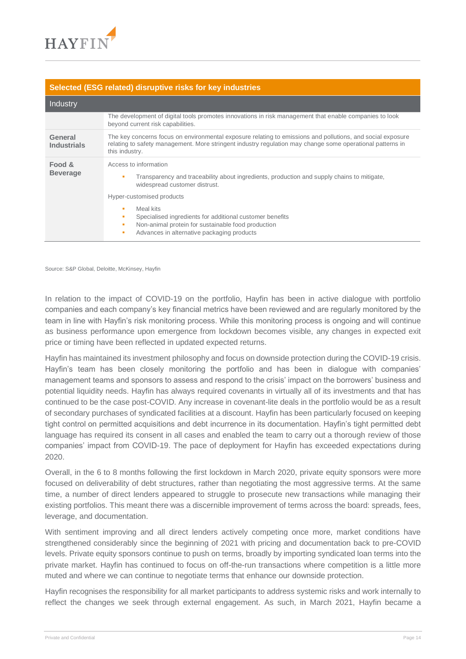

#### **Selected (ESG related) disruptive risks for key industries**

| Industry                      |                                                                                                                                                                                                                                                                           |
|-------------------------------|---------------------------------------------------------------------------------------------------------------------------------------------------------------------------------------------------------------------------------------------------------------------------|
|                               | The development of digital tools promotes innovations in risk management that enable companies to look<br>beyond current risk capabilities.                                                                                                                               |
| General<br><b>Industrials</b> | The key concerns focus on environmental exposure relating to emissions and pollutions, and social exposure<br>relating to safety management. More stringent industry regulation may change some operational patterns in<br>this industry.                                 |
| Food &<br><b>Beverage</b>     | Access to information<br>Transparency and traceability about ingredients, production and supply chains to mitigate,<br>٠<br>widespread customer distrust.<br>Hyper-customised products<br>Meal kits<br>٠<br>Specialised ingredients for additional customer benefits<br>٠ |
|                               | Non-animal protein for sustainable food production<br>×<br>Advances in alternative packaging products<br>٠                                                                                                                                                                |

Source: S&P Global, Deloitte, McKinsey, Hayfin

In relation to the impact of COVID-19 on the portfolio, Hayfin has been in active dialogue with portfolio companies and each company's key financial metrics have been reviewed and are regularly monitored by the team in line with Hayfin's risk monitoring process. While this monitoring process is ongoing and will continue as business performance upon emergence from lockdown becomes visible, any changes in expected exit price or timing have been reflected in updated expected returns.

Hayfin has maintained its investment philosophy and focus on downside protection during the COVID-19 crisis. Hayfin's team has been closely monitoring the portfolio and has been in dialogue with companies' management teams and sponsors to assess and respond to the crisis' impact on the borrowers' business and potential liquidity needs. Hayfin has always required covenants in virtually all of its investments and that has continued to be the case post-COVID. Any increase in covenant-lite deals in the portfolio would be as a result of secondary purchases of syndicated facilities at a discount. Hayfin has been particularly focused on keeping tight control on permitted acquisitions and debt incurrence in its documentation. Hayfin's tight permitted debt language has required its consent in all cases and enabled the team to carry out a thorough review of those companies' impact from COVID-19. The pace of deployment for Hayfin has exceeded expectations during 2020.

Overall, in the 6 to 8 months following the first lockdown in March 2020, private equity sponsors were more focused on deliverability of debt structures, rather than negotiating the most aggressive terms. At the same time, a number of direct lenders appeared to struggle to prosecute new transactions while managing their existing portfolios. This meant there was a discernible improvement of terms across the board: spreads, fees, leverage, and documentation.

With sentiment improving and all direct lenders actively competing once more, market conditions have strengthened considerably since the beginning of 2021 with pricing and documentation back to pre-COVID levels. Private equity sponsors continue to push on terms, broadly by importing syndicated loan terms into the private market. Hayfin has continued to focus on off-the-run transactions where competition is a little more muted and where we can continue to negotiate terms that enhance our downside protection.

Hayfin recognises the responsibility for all market participants to address systemic risks and work internally to reflect the changes we seek through external engagement. As such, in March 2021, Hayfin became a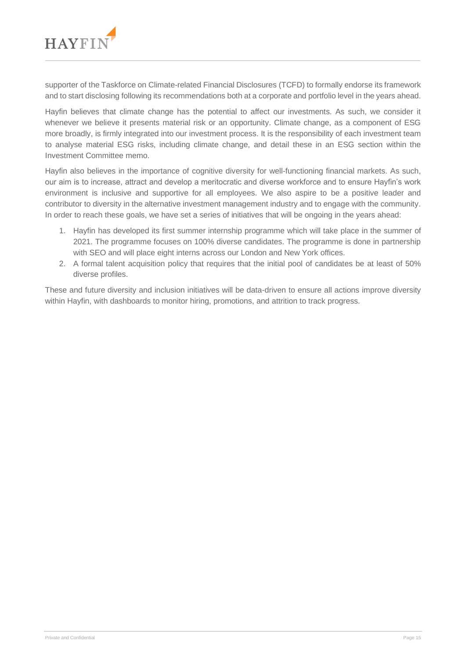

supporter of the Taskforce on Climate-related Financial Disclosures (TCFD) to formally endorse its framework and to start disclosing following its recommendations both at a corporate and portfolio level in the years ahead.

Hayfin believes that climate change has the potential to affect our investments. As such, we consider it whenever we believe it presents material risk or an opportunity. Climate change, as a component of ESG more broadly, is firmly integrated into our investment process. It is the responsibility of each investment team to analyse material ESG risks, including climate change, and detail these in an ESG section within the Investment Committee memo.

Hayfin also believes in the importance of cognitive diversity for well-functioning financial markets. As such, our aim is to increase, attract and develop a meritocratic and diverse workforce and to ensure Hayfin's work environment is inclusive and supportive for all employees. We also aspire to be a positive leader and contributor to diversity in the alternative investment management industry and to engage with the community. In order to reach these goals, we have set a series of initiatives that will be ongoing in the years ahead:

- 1. Hayfin has developed its first summer internship programme which will take place in the summer of 2021. The programme focuses on 100% diverse candidates. The programme is done in partnership with SEO and will place eight interns across our London and New York offices.
- 2. A formal talent acquisition policy that requires that the initial pool of candidates be at least of 50% diverse profiles.

These and future diversity and inclusion initiatives will be data-driven to ensure all actions improve diversity within Hayfin, with dashboards to monitor hiring, promotions, and attrition to track progress.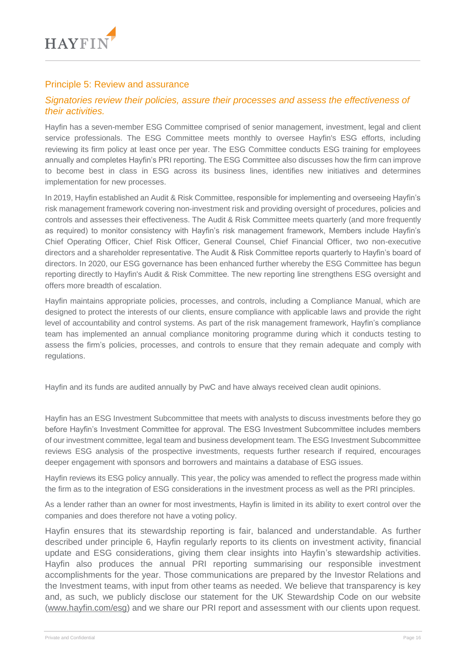

## Principle 5: Review and assurance

## *Signatories review their policies, assure their processes and assess the effectiveness of their activities.*

Hayfin has a seven-member ESG Committee comprised of senior management, investment, legal and client service professionals. The ESG Committee meets monthly to oversee Hayfin's ESG efforts, including reviewing its firm policy at least once per year. The ESG Committee conducts ESG training for employees annually and completes Hayfin's PRI reporting. The ESG Committee also discusses how the firm can improve to become best in class in ESG across its business lines, identifies new initiatives and determines implementation for new processes.

In 2019, Hayfin established an Audit & Risk Committee, responsible for implementing and overseeing Hayfin's risk management framework covering non-investment risk and providing oversight of procedures, policies and controls and assesses their effectiveness. The Audit & Risk Committee meets quarterly (and more frequently as required) to monitor consistency with Hayfin's risk management framework, Members include Hayfin's Chief Operating Officer, Chief Risk Officer, General Counsel, Chief Financial Officer, two non-executive directors and a shareholder representative. The Audit & Risk Committee reports quarterly to Hayfin's board of directors. In 2020, our ESG governance has been enhanced further whereby the ESG Committee has begun reporting directly to Hayfin's Audit & Risk Committee. The new reporting line strengthens ESG oversight and offers more breadth of escalation.

Hayfin maintains appropriate policies, processes, and controls, including a Compliance Manual, which are designed to protect the interests of our clients, ensure compliance with applicable laws and provide the right level of accountability and control systems. As part of the risk management framework, Hayfin's compliance team has implemented an annual compliance monitoring programme during which it conducts testing to assess the firm's policies, processes, and controls to ensure that they remain adequate and comply with regulations.

Hayfin and its funds are audited annually by PwC and have always received clean audit opinions.

Hayfin has an ESG Investment Subcommittee that meets with analysts to discuss investments before they go before Hayfin's Investment Committee for approval. The ESG Investment Subcommittee includes members of our investment committee, legal team and business development team. The ESG Investment Subcommittee reviews ESG analysis of the prospective investments, requests further research if required, encourages deeper engagement with sponsors and borrowers and maintains a database of ESG issues.

Hayfin reviews its ESG policy annually. This year, the policy was amended to reflect the progress made within the firm as to the integration of ESG considerations in the investment process as well as the PRI principles.

As a lender rather than an owner for most investments, Hayfin is limited in its ability to exert control over the companies and does therefore not have a voting policy.

Hayfin ensures that its stewardship reporting is fair, balanced and understandable. As further described under principle 6, Hayfin regularly reports to its clients on investment activity, financial update and ESG considerations, giving them clear insights into Hayfin's stewardship activities. Hayfin also produces the annual PRI reporting summarising our responsible investment accomplishments for the year. Those communications are prepared by the Investor Relations and the Investment teams, with input from other teams as needed. We believe that transparency is key and, as such, we publicly disclose our statement for the UK Stewardship Code on our website [\(www.hayfin.com/esg\)](http://www.hayfin.com/esg) and we share our PRI report and assessment with our clients upon request.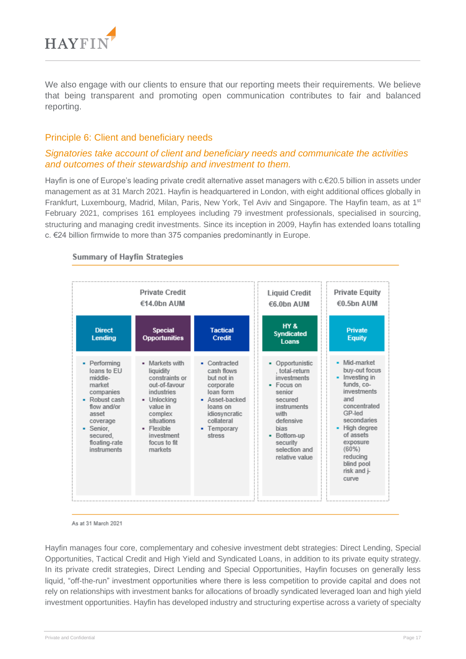

We also engage with our clients to ensure that our reporting meets their requirements. We believe that being transparent and promoting open communication contributes to fair and balanced reporting.

## Principle 6: Client and beneficiary needs

## *Signatories take account of client and beneficiary needs and communicate the activities and outcomes of their stewardship and investment to them.*

Hayfin is one of Europe's leading private credit alternative asset managers with c.€20.5 billion in assets under management as at 31 March 2021. Hayfin is headquartered in London, with eight additional offices globally in Frankfurt, Luxembourg, Madrid, Milan, Paris, New York, Tel Aviv and Singapore. The Hayfin team, as at 1<sup>st</sup> February 2021, comprises 161 employees including 79 investment professionals, specialised in sourcing, structuring and managing credit investments. Since its inception in 2009, Hayfin has extended loans totalling c. €24 billion firmwide to more than 375 companies predominantly in Europe.



#### **Summary of Hayfin Strategies**

As at 31 March 2021

Hayfin manages four core, complementary and cohesive investment debt strategies: Direct Lending, Special Opportunities, Tactical Credit and High Yield and Syndicated Loans, in addition to its private equity strategy. In its private credit strategies, Direct Lending and Special Opportunities, Hayfin focuses on generally less liquid, "off-the-run" investment opportunities where there is less competition to provide capital and does not rely on relationships with investment banks for allocations of broadly syndicated leveraged loan and high yield investment opportunities. Hayfin has developed industry and structuring expertise across a variety of specialty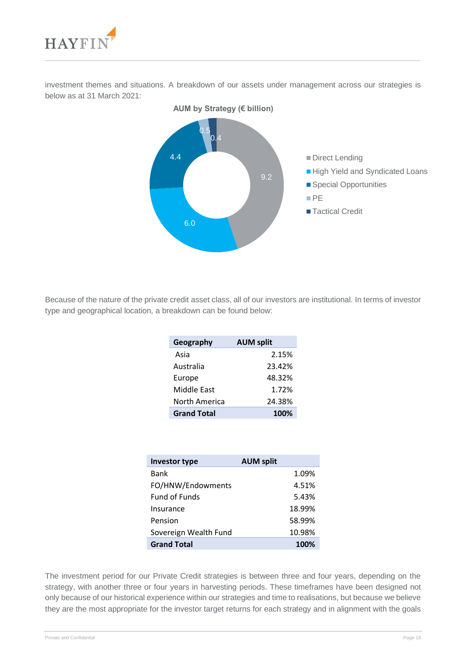

investment themes and situations. A breakdown of our assets under management across our strategies is below as at 31 March 2021:



Because of the nature of the private credit asset class, all of our investors are institutional. In terms of investor type and geographical location, a breakdown can be found below:

| Geography          | <b>AUM split</b> |
|--------------------|------------------|
| Asia               | 2.15%            |
| Australia          | 23.42%           |
| Europe             | 48.32%           |
| Middle East        | 1.72%            |
| North America      | 24.38%           |
| <b>Grand Total</b> | 100%             |

| <b>Investor type</b>  | <b>AUM split</b> |
|-----------------------|------------------|
| Bank                  | 1.09%            |
| FO/HNW/Endowments     | 4.51%            |
| <b>Fund of Funds</b>  | 5.43%            |
| Insurance             | 18.99%           |
| Pension               | 58.99%           |
| Sovereign Wealth Fund | 10.98%           |
| <b>Grand Total</b>    | 100%             |

The investment period for our Private Credit strategies is between three and four years, depending on the strategy, with another three or four years in harvesting periods. These timeframes have been designed not only because of our historical experience within our strategies and time to realisations, but because we believe they are the most appropriate for the investor target returns for each strategy and in alignment with the goals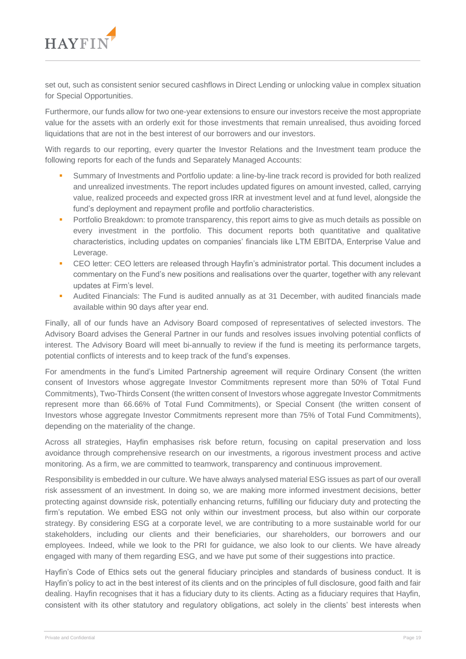

set out, such as consistent senior secured cashflows in Direct Lending or unlocking value in complex situation for Special Opportunities.

Furthermore, our funds allow for two one-year extensions to ensure our investors receive the most appropriate value for the assets with an orderly exit for those investments that remain unrealised, thus avoiding forced liquidations that are not in the best interest of our borrowers and our investors.

With regards to our reporting, every quarter the Investor Relations and the Investment team produce the following reports for each of the funds and Separately Managed Accounts:

- Summary of Investments and Portfolio update: a line-by-line track record is provided for both realized and unrealized investments. The report includes updated figures on amount invested, called, carrying value, realized proceeds and expected gross IRR at investment level and at fund level, alongside the fund's deployment and repayment profile and portfolio characteristics.
- **•** Portfolio Breakdown: to promote transparency, this report aims to give as much details as possible on every investment in the portfolio. This document reports both quantitative and qualitative characteristics, including updates on companies' financials like LTM EBITDA, Enterprise Value and Leverage.
- CEO letter: CEO letters are released through Hayfin's administrator portal. This document includes a commentary on the Fund's new positions and realisations over the quarter, together with any relevant updates at Firm's level.
- Audited Financials: The Fund is audited annually as at 31 December, with audited financials made available within 90 days after year end.

Finally, all of our funds have an Advisory Board composed of representatives of selected investors. The Advisory Board advises the General Partner in our funds and resolves issues involving potential conflicts of interest. The Advisory Board will meet bi-annually to review if the fund is meeting its performance targets, potential conflicts of interests and to keep track of the fund's expenses.

For amendments in the fund's Limited Partnership agreement will require Ordinary Consent (the written consent of Investors whose aggregate Investor Commitments represent more than 50% of Total Fund Commitments), Two-Thirds Consent (the written consent of Investors whose aggregate Investor Commitments represent more than 66.66% of Total Fund Commitments), or Special Consent (the written consent of Investors whose aggregate Investor Commitments represent more than 75% of Total Fund Commitments), depending on the materiality of the change.

Across all strategies, Hayfin emphasises risk before return, focusing on capital preservation and loss avoidance through comprehensive research on our investments, a rigorous investment process and active monitoring. As a firm, we are committed to teamwork, transparency and continuous improvement.

Responsibility is embedded in our culture. We have always analysed material ESG issues as part of our overall risk assessment of an investment. In doing so, we are making more informed investment decisions, better protecting against downside risk, potentially enhancing returns, fulfilling our fiduciary duty and protecting the firm's reputation. We embed ESG not only within our investment process, but also within our corporate strategy. By considering ESG at a corporate level, we are contributing to a more sustainable world for our stakeholders, including our clients and their beneficiaries, our shareholders, our borrowers and our employees. Indeed, while we look to the PRI for guidance, we also look to our clients. We have already engaged with many of them regarding ESG, and we have put some of their suggestions into practice.

Hayfin's Code of Ethics sets out the general fiduciary principles and standards of business conduct. It is Hayfin's policy to act in the best interest of its clients and on the principles of full disclosure, good faith and fair dealing. Hayfin recognises that it has a fiduciary duty to its clients. Acting as a fiduciary requires that Hayfin, consistent with its other statutory and regulatory obligations, act solely in the clients' best interests when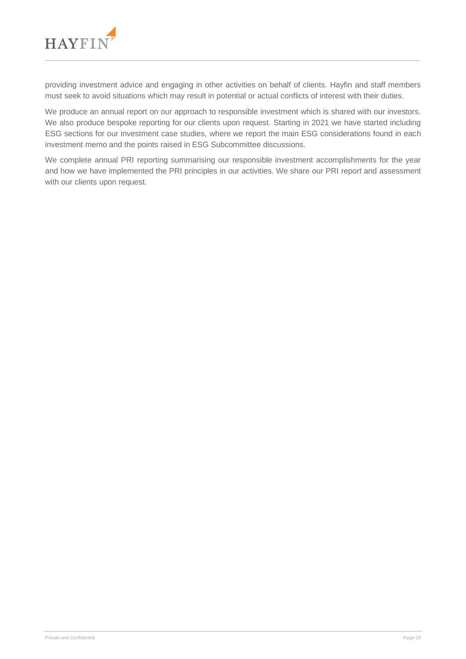

providing investment advice and engaging in other activities on behalf of clients. Hayfin and staff members must seek to avoid situations which may result in potential or actual conflicts of interest with their duties.

We produce an annual report on our approach to responsible investment which is shared with our investors. We also produce bespoke reporting for our clients upon request. Starting in 2021 we have started including ESG sections for our investment case studies, where we report the main ESG considerations found in each investment memo and the points raised in ESG Subcommittee discussions.

We complete annual PRI reporting summarising our responsible investment accomplishments for the year and how we have implemented the PRI principles in our activities. We share our PRI report and assessment with our clients upon request.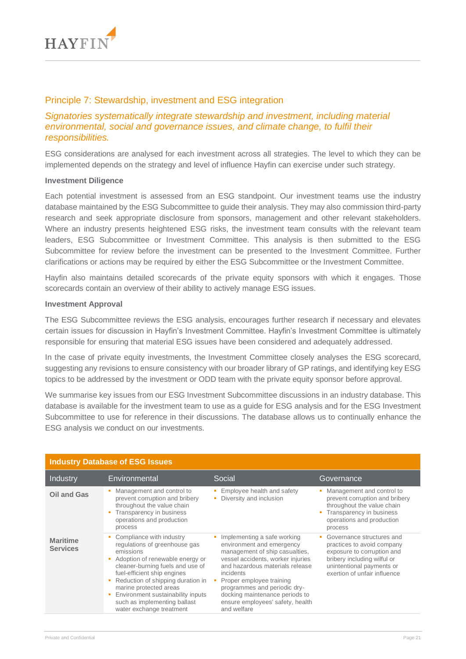

## Principle 7: Stewardship, investment and ESG integration

## *Signatories systematically integrate stewardship and investment, including material environmental, social and governance issues, and climate change, to fulfil their responsibilities.*

ESG considerations are analysed for each investment across all strategies. The level to which they can be implemented depends on the strategy and level of influence Hayfin can exercise under such strategy.

#### **Investment Diligence**

Each potential investment is assessed from an ESG standpoint. Our investment teams use the industry database maintained by the ESG Subcommittee to guide their analysis. They may also commission third-party research and seek appropriate disclosure from sponsors, management and other relevant stakeholders. Where an industry presents heightened ESG risks, the investment team consults with the relevant team leaders, ESG Subcommittee or Investment Committee. This analysis is then submitted to the ESG Subcommittee for review before the investment can be presented to the Investment Committee. Further clarifications or actions may be required by either the ESG Subcommittee or the Investment Committee.

Hayfin also maintains detailed scorecards of the private equity sponsors with which it engages. Those scorecards contain an overview of their ability to actively manage ESG issues.

#### **Investment Approval**

The ESG Subcommittee reviews the ESG analysis, encourages further research if necessary and elevates certain issues for discussion in Hayfin's Investment Committee. Hayfin's Investment Committee is ultimately responsible for ensuring that material ESG issues have been considered and adequately addressed.

In the case of private equity investments, the Investment Committee closely analyses the ESG scorecard, suggesting any revisions to ensure consistency with our broader library of GP ratings, and identifying key ESG topics to be addressed by the investment or ODD team with the private equity sponsor before approval.

We summarise key issues from our ESG Investment Subcommittee discussions in an industry database. This database is available for the investment team to use as a guide for ESG analysis and for the ESG Investment Subcommittee to use for reference in their discussions. The database allows us to continually enhance the ESG analysis we conduct on our investments.

| <b>Industry Database of ESG Issues</b> |                                                                                                                                                                                                                                                                                                                                              |                                                                                                                                                                                                                                                                                                                                  |                                                                                                                                                                                   |
|----------------------------------------|----------------------------------------------------------------------------------------------------------------------------------------------------------------------------------------------------------------------------------------------------------------------------------------------------------------------------------------------|----------------------------------------------------------------------------------------------------------------------------------------------------------------------------------------------------------------------------------------------------------------------------------------------------------------------------------|-----------------------------------------------------------------------------------------------------------------------------------------------------------------------------------|
| Industry                               | Environmental                                                                                                                                                                                                                                                                                                                                | Social                                                                                                                                                                                                                                                                                                                           | Governance                                                                                                                                                                        |
| Oil and Gas                            | Management and control to<br>prevent corruption and bribery<br>throughout the value chain<br>Transparency in business<br>operations and production<br>process                                                                                                                                                                                | Employee health and safety<br>Diversity and inclusion                                                                                                                                                                                                                                                                            | Management and control to<br>prevent corruption and bribery<br>throughout the value chain<br>Transparency in business<br>operations and production<br>process                     |
| <b>Maritime</b><br><b>Services</b>     | Compliance with industry<br>regulations of greenhouse gas<br>emissions<br>Adoption of renewable energy or<br>cleaner-burning fuels and use of<br>fuel-efficient ship engines<br>Reduction of shipping duration in<br>marine protected areas<br>Environment sustainability inputs<br>such as implementing ballast<br>water exchange treatment | Implementing a safe working<br>environment and emergency<br>management of ship casualties,<br>vessel accidents, worker injuries<br>and hazardous materials release<br>incidents<br>Proper employee training<br>programmes and periodic dry-<br>docking maintenance periods to<br>ensure employees' safety, health<br>and welfare | Governance structures and<br>practices to avoid company<br>exposure to corruption and<br>bribery including wilful or<br>unintentional payments or<br>exertion of unfair influence |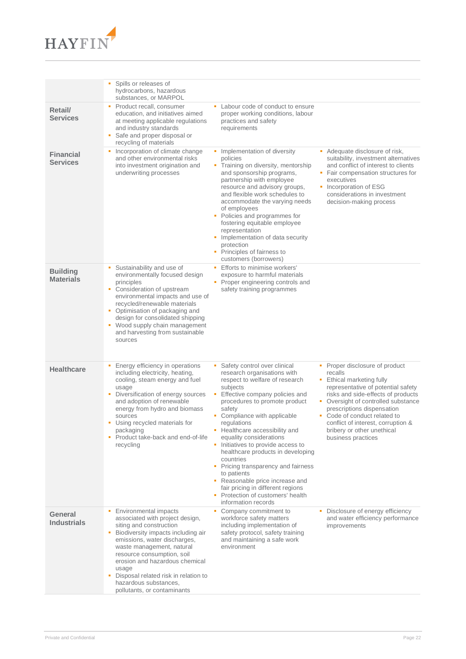

|                                     | Spills or releases of<br>hydrocarbons, hazardous<br>substances, or MARPOL                                                                                                                                                                                                                                                                                                 |                                                                                                                                                                                                                                                                                                                                                                                                                                                                                                                                                                        |                                                                                                                                                                                                                                                                                                                                                   |
|-------------------------------------|---------------------------------------------------------------------------------------------------------------------------------------------------------------------------------------------------------------------------------------------------------------------------------------------------------------------------------------------------------------------------|------------------------------------------------------------------------------------------------------------------------------------------------------------------------------------------------------------------------------------------------------------------------------------------------------------------------------------------------------------------------------------------------------------------------------------------------------------------------------------------------------------------------------------------------------------------------|---------------------------------------------------------------------------------------------------------------------------------------------------------------------------------------------------------------------------------------------------------------------------------------------------------------------------------------------------|
| Retail/<br><b>Services</b>          | • Product recall, consumer<br>education, and initiatives aimed<br>at meeting applicable regulations<br>and industry standards<br>Safe and proper disposal or<br>recycling of materials                                                                                                                                                                                    | Labour code of conduct to ensure<br>proper working conditions, labour<br>practices and safety<br>requirements                                                                                                                                                                                                                                                                                                                                                                                                                                                          |                                                                                                                                                                                                                                                                                                                                                   |
| <b>Financial</b><br><b>Services</b> | Incorporation of climate change<br>٠.<br>٠<br>and other environmental risks<br>into investment origination and<br>underwriting processes                                                                                                                                                                                                                                  | Implementation of diversity<br>policies<br>• Training on diversity, mentorship<br>and sponsorship programs,<br>partnership with employee<br>resource and advisory groups,<br>and flexible work schedules to<br>accommodate the varying needs<br>of employees<br>• Policies and programmes for<br>fostering equitable employee<br>representation<br>• Implementation of data security<br>protection<br>Principles of fairness to<br>customers (borrowers)                                                                                                               | • Adequate disclosure of risk,<br>suitability, investment alternatives<br>and conflict of interest to clients<br>• Fair compensation structures for<br>executives<br>• Incorporation of ESG<br>considerations in investment<br>decision-making process                                                                                            |
| <b>Building</b><br><b>Materials</b> | Sustainability and use of<br>environmentally focused design<br>principles<br>Consideration of upstream<br>٠<br>environmental impacts and use of<br>recycled/renewable materials<br>• Optimisation of packaging and<br>design for consolidated shipping<br>• Wood supply chain management<br>and harvesting from sustainable<br>sources                                    | • Efforts to minimise workers'<br>exposure to harmful materials<br>• Proper engineering controls and<br>safety training programmes                                                                                                                                                                                                                                                                                                                                                                                                                                     |                                                                                                                                                                                                                                                                                                                                                   |
| <b>Healthcare</b>                   | Energy efficiency in operations<br>including electricity, heating,<br>cooling, steam energy and fuel<br>usage<br>Diversification of energy sources<br>٠<br>and adoption of renewable<br>energy from hydro and biomass<br>safety<br>sources<br>Using recycled materials for<br>٠<br>packaging<br>• Product take-back and end-of-life<br>recycling                          | Safety control over clinical<br>research organisations with<br>respect to welfare of research<br>subjects<br>Effective company policies and<br>procedures to promote product<br>Compliance with applicable<br>regulations<br>• Healthcare accessibility and<br>equality considerations<br>Initiatives to provide access to<br>healthcare products in developing<br>countries<br>• Pricing transparency and fairness<br>to patients<br>• Reasonable price increase and<br>fair pricing in different regions<br>• Protection of customers' health<br>information records | • Proper disclosure of product<br>recalls<br>• Ethical marketing fully<br>representative of potential safety<br>risks and side-effects of products<br>• Oversight of controlled substance<br>prescriptions dispensation<br>• Code of conduct related to<br>conflict of interest, corruption &<br>bribery or other unethical<br>business practices |
| General<br><b>Industrials</b>       | Environmental impacts<br>associated with project design,<br>siting and construction<br>Biodiversity impacts including air<br>٠<br>emissions, water discharges,<br>waste management, natural<br>resource consumption, soil<br>erosion and hazardous chemical<br>usage<br>Disposal related risk in relation to<br>٠<br>hazardous substances,<br>pollutants, or contaminants | Company commitment to<br>workforce safety matters<br>including implementation of<br>safety protocol, safety training<br>and maintaining a safe work<br>environment                                                                                                                                                                                                                                                                                                                                                                                                     | • Disclosure of energy efficiency<br>and water efficiency performance<br>improvements                                                                                                                                                                                                                                                             |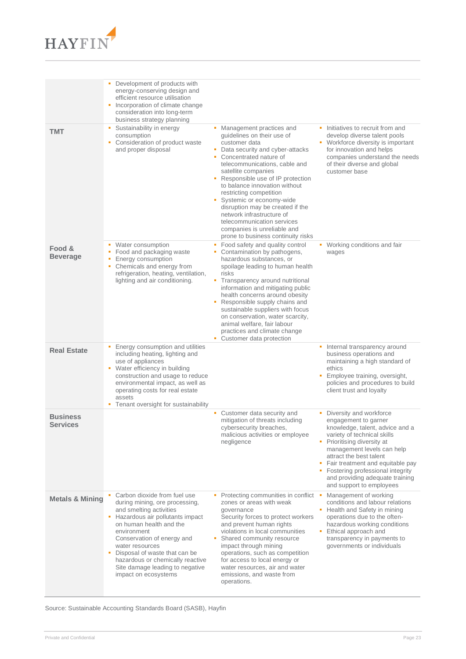

|                                    | Development of products with<br>energy-conserving design and<br>efficient resource utilisation<br>Incorporation of climate change<br>consideration into long-term<br>business strategy planning                                                                                                                                                         |                                                                                                                                                                                                                                                                                                                                                                                                                                                                                                        |                                                                                                                                                                                                                                                                                                                                                           |
|------------------------------------|---------------------------------------------------------------------------------------------------------------------------------------------------------------------------------------------------------------------------------------------------------------------------------------------------------------------------------------------------------|--------------------------------------------------------------------------------------------------------------------------------------------------------------------------------------------------------------------------------------------------------------------------------------------------------------------------------------------------------------------------------------------------------------------------------------------------------------------------------------------------------|-----------------------------------------------------------------------------------------------------------------------------------------------------------------------------------------------------------------------------------------------------------------------------------------------------------------------------------------------------------|
| <b>TMT</b>                         | Sustainability in energy<br>٠<br>consumption<br>Consideration of product waste<br>and proper disposal                                                                                                                                                                                                                                                   | Management practices and<br>guidelines on their use of<br>customer data<br>Data security and cyber-attacks<br>Concentrated nature of<br>٠<br>telecommunications, cable and<br>satellite companies<br>Responsible use of IP protection<br>to balance innovation without<br>restricting competition<br>Systemic or economy-wide<br>٠<br>disruption may be created if the<br>network infrastructure of<br>telecommunication services<br>companies is unreliable and<br>prone to business continuity risks | • Initiatives to recruit from and<br>develop diverse talent pools<br>• Workforce diversity is important<br>for innovation and helps<br>companies understand the needs<br>of their diverse and global<br>customer base                                                                                                                                     |
| Food &<br><b>Beverage</b>          | Water consumption<br>• Food and packaging waste<br>Energy consumption<br>Chemicals and energy from<br>٠<br>refrigeration, heating, ventilation,<br>lighting and air conditioning.                                                                                                                                                                       | Food safety and quality control<br>п<br>Contamination by pathogens,<br>٠<br>hazardous substances, or<br>spoilage leading to human health<br>risks<br>Transparency around nutritional<br>information and mitigating public<br>health concerns around obesity<br>Responsible supply chains and<br>sustainable suppliers with focus<br>on conservation, water scarcity,<br>animal welfare, fair labour<br>practices and climate change<br>Customer data protection                                        | • Working conditions and fair<br>wages                                                                                                                                                                                                                                                                                                                    |
| <b>Real Estate</b>                 | Energy consumption and utilities<br>including heating, lighting and<br>use of appliances<br>• Water efficiency in building<br>construction and usage to reduce<br>environmental impact, as well as<br>operating costs for real estate<br>assets<br>Tenant oversight for sustainability<br>٠                                                             |                                                                                                                                                                                                                                                                                                                                                                                                                                                                                                        | Internal transparency around<br>٠<br>business operations and<br>maintaining a high standard of<br>ethics<br>Employee training, oversight,<br>policies and procedures to build<br>client trust and loyalty                                                                                                                                                 |
| <b>Business</b><br><b>Services</b> |                                                                                                                                                                                                                                                                                                                                                         | • Customer data security and<br>mitigation of threats including<br>cybersecurity breaches,<br>malicious activities or employee<br>negligence                                                                                                                                                                                                                                                                                                                                                           | Diversity and workforce<br>ш<br>engagement to garner<br>knowledge, talent, advice and a<br>variety of technical skills<br>• Prioritising diversity at<br>management levels can help<br>attract the best talent<br>• Fair treatment and equitable pay<br>• Fostering professional integrity<br>and providing adequate training<br>and support to employees |
| <b>Metals &amp; Mining</b>         | Carbon dioxide from fuel use<br>during mining, ore processing,<br>and smelting activities<br>Hazardous air pollutants impact<br>on human health and the<br>environment<br>Conservation of energy and<br>water resources<br>Disposal of waste that can be<br>hazardous or chemically reactive<br>Site damage leading to negative<br>impact on ecosystems | Protecting communities in conflict ■<br>zones or areas with weak<br>qovernance<br>Security forces to protect workers<br>and prevent human rights<br>violations in local communities<br>Shared community resource<br>impact through mining<br>operations, such as competition<br>for access to local energy or<br>water resources, air and water<br>emissions, and waste from<br>operations.                                                                                                            | Management of working<br>conditions and labour relations<br>• Health and Safety in mining<br>operations due to the often-<br>hazardous working conditions<br>• Ethical approach and<br>transparency in payments to<br>governments or individuals                                                                                                          |

Source: Sustainable Accounting Standards Board (SASB), Hayfin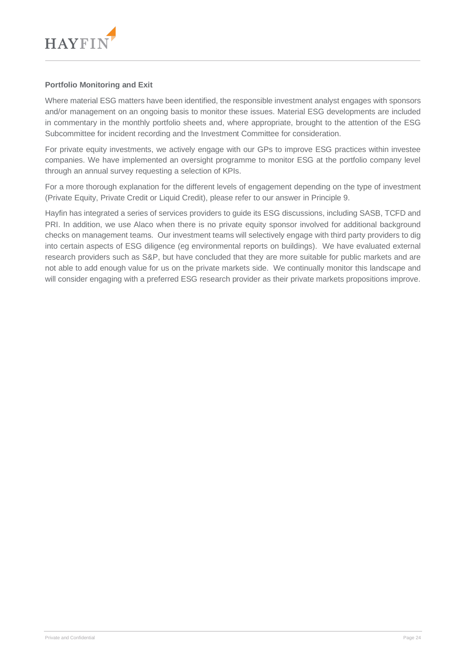

#### **Portfolio Monitoring and Exit**

Where material ESG matters have been identified, the responsible investment analyst engages with sponsors and/or management on an ongoing basis to monitor these issues. Material ESG developments are included in commentary in the monthly portfolio sheets and, where appropriate, brought to the attention of the ESG Subcommittee for incident recording and the Investment Committee for consideration.

For private equity investments, we actively engage with our GPs to improve ESG practices within investee companies. We have implemented an oversight programme to monitor ESG at the portfolio company level through an annual survey requesting a selection of KPIs.

For a more thorough explanation for the different levels of engagement depending on the type of investment (Private Equity, Private Credit or Liquid Credit), please refer to our answer in Principle 9.

Hayfin has integrated a series of services providers to guide its ESG discussions, including SASB, TCFD and PRI. In addition, we use Alaco when there is no private equity sponsor involved for additional background checks on management teams. Our investment teams will selectively engage with third party providers to dig into certain aspects of ESG diligence (eg environmental reports on buildings). We have evaluated external research providers such as S&P, but have concluded that they are more suitable for public markets and are not able to add enough value for us on the private markets side. We continually monitor this landscape and will consider engaging with a preferred ESG research provider as their private markets propositions improve.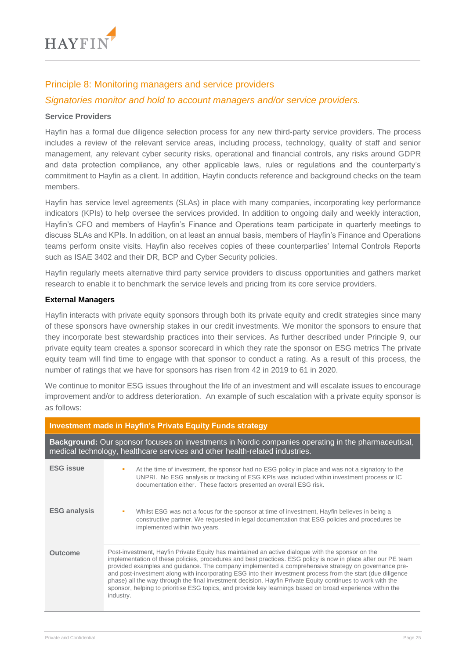

## Principle 8: Monitoring managers and service providers

## *Signatories monitor and hold to account managers and/or service providers.*

#### **Service Providers**

Hayfin has a formal due diligence selection process for any new third-party service providers. The process includes a review of the relevant service areas, including process, technology, quality of staff and senior management, any relevant cyber security risks, operational and financial controls, any risks around GDPR and data protection compliance, any other applicable laws, rules or regulations and the counterparty's commitment to Hayfin as a client. In addition, Hayfin conducts reference and background checks on the team members.

Hayfin has service level agreements (SLAs) in place with many companies, incorporating key performance indicators (KPIs) to help oversee the services provided. In addition to ongoing daily and weekly interaction, Hayfin's CFO and members of Hayfin's Finance and Operations team participate in quarterly meetings to discuss SLAs and KPIs. In addition, on at least an annual basis, members of Hayfin's Finance and Operations teams perform onsite visits. Hayfin also receives copies of these counterparties' Internal Controls Reports such as ISAE 3402 and their DR, BCP and Cyber Security policies.

Hayfin regularly meets alternative third party service providers to discuss opportunities and gathers market research to enable it to benchmark the service levels and pricing from its core service providers.

#### **External Managers**

Hayfin interacts with private equity sponsors through both its private equity and credit strategies since many of these sponsors have ownership stakes in our credit investments. We monitor the sponsors to ensure that they incorporate best stewardship practices into their services. As further described under Principle 9, our private equity team creates a sponsor scorecard in which they rate the sponsor on ESG metrics The private equity team will find time to engage with that sponsor to conduct a rating. As a result of this process, the number of ratings that we have for sponsors has risen from 42 in 2019 to 61 in 2020.

We continue to monitor ESG issues throughout the life of an investment and will escalate issues to encourage improvement and/or to address deterioration. An example of such escalation with a private equity sponsor is as follows:

|                     | Investment made in Hayfin's Private Equity Funds strategy                                                                                                                                                                                                                                                                                                                                                                                                                                                                                                                                                                                                                        |  |
|---------------------|----------------------------------------------------------------------------------------------------------------------------------------------------------------------------------------------------------------------------------------------------------------------------------------------------------------------------------------------------------------------------------------------------------------------------------------------------------------------------------------------------------------------------------------------------------------------------------------------------------------------------------------------------------------------------------|--|
|                     | <b>Background:</b> Our sponsor focuses on investments in Nordic companies operating in the pharmaceutical,<br>medical technology, healthcare services and other health-related industries.                                                                                                                                                                                                                                                                                                                                                                                                                                                                                       |  |
| <b>ESG issue</b>    | At the time of investment, the sponsor had no ESG policy in place and was not a signatory to the<br>UNPRI. No ESG analysis or tracking of ESG KPIs was included within investment process or IC<br>documentation either. These factors presented an overall ESG risk.                                                                                                                                                                                                                                                                                                                                                                                                            |  |
| <b>ESG analysis</b> | Whilst ESG was not a focus for the sponsor at time of investment, Hayfin believes in being a<br>×<br>constructive partner. We requested in legal documentation that ESG policies and procedures be<br>implemented within two years.                                                                                                                                                                                                                                                                                                                                                                                                                                              |  |
| <b>Outcome</b>      | Post-investment, Hayfin Private Equity has maintained an active dialogue with the sponsor on the<br>implementation of these policies, procedures and best practices. ESG policy is now in place after our PE team<br>provided examples and guidance. The company implemented a comprehensive strategy on governance pre-<br>and post-investment along with incorporating ESG into their investment process from the start (due diligence<br>phase) all the way through the final investment decision. Hayfin Private Equity continues to work with the<br>sponsor, helping to prioritise ESG topics, and provide key learnings based on broad experience within the<br>industry. |  |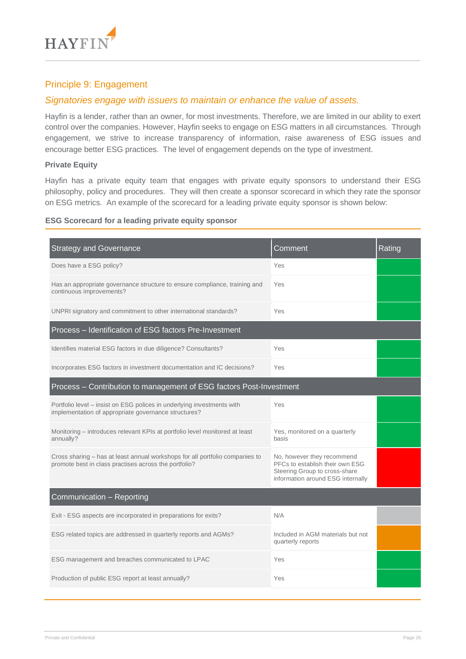

## Principle 9: Engagement

## *Signatories engage with issuers to maintain or enhance the value of assets.*

Hayfin is a lender, rather than an owner, for most investments. Therefore, we are limited in our ability to exert control over the companies. However, Hayfin seeks to engage on ESG matters in all circumstances. Through engagement, we strive to increase transparency of information, raise awareness of ESG issues and encourage better ESG practices. The level of engagement depends on the type of investment.

#### **Private Equity**

Hayfin has a private equity team that engages with private equity sponsors to understand their ESG philosophy, policy and procedures. They will then create a sponsor scorecard in which they rate the sponsor on ESG metrics. An example of the scorecard for a leading private equity sponsor is shown below:

#### **ESG Scorecard for a leading private equity sponsor**

| <b>Strategy and Governance</b>                                                                                                        | Comment                                                                                                                             | Rating |
|---------------------------------------------------------------------------------------------------------------------------------------|-------------------------------------------------------------------------------------------------------------------------------------|--------|
| Does have a ESG policy?                                                                                                               | Yes                                                                                                                                 |        |
| Has an appropriate governance structure to ensure compliance, training and<br>continuous improvements?                                | Yes                                                                                                                                 |        |
| UNPRI signatory and commitment to other international standards?                                                                      | Yes                                                                                                                                 |        |
| Process - Identification of ESG factors Pre-Investment                                                                                |                                                                                                                                     |        |
| Identifies material ESG factors in due diligence? Consultants?                                                                        | Yes                                                                                                                                 |        |
| Incorporates ESG factors in investment documentation and IC decisions?                                                                | Yes                                                                                                                                 |        |
| Process – Contribution to management of ESG factors Post-Investment                                                                   |                                                                                                                                     |        |
| Portfolio level – insist on ESG polices in underlying investments with<br>implementation of appropriate governance structures?        | Yes                                                                                                                                 |        |
| Monitoring - introduces relevant KPIs at portfolio level monitored at least<br>annually?                                              | Yes, monitored on a quarterly<br>basis                                                                                              |        |
| Cross sharing – has at least annual workshops for all portfolio companies to<br>promote best in class practises across the portfolio? | No, however they recommend<br>PFCs to establish their own ESG<br>Steering Group to cross-share<br>information around ESG internally |        |
| Communication - Reporting                                                                                                             |                                                                                                                                     |        |
| Exit - ESG aspects are incorporated in preparations for exits?                                                                        | N/A                                                                                                                                 |        |
| ESG related topics are addressed in quarterly reports and AGMs?                                                                       | Included in AGM materials but not<br>quarterly reports                                                                              |        |
| ESG management and breaches communicated to LPAC                                                                                      | Yes                                                                                                                                 |        |
| Production of public ESG report at least annually?                                                                                    | Yes                                                                                                                                 |        |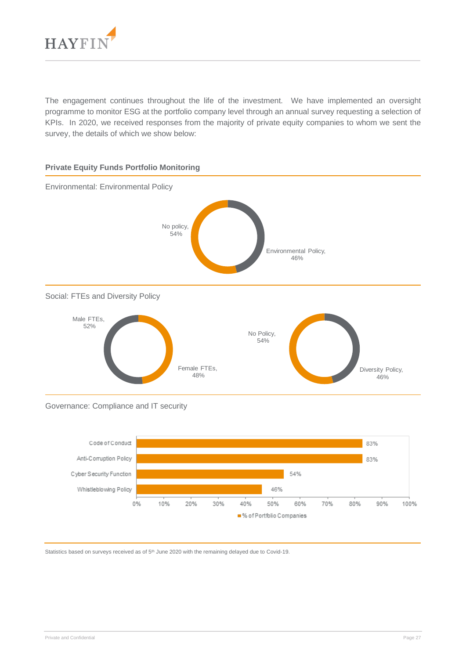

The engagement continues throughout the life of the investment. We have implemented an oversight programme to monitor ESG at the portfolio company level through an annual survey requesting a selection of KPIs. In 2020, we received responses from the majority of private equity companies to whom we sent the survey, the details of which we show below:



#### Governance: Compliance and IT security



Statistics based on surveys received as of 5<sup>th</sup> June 2020 with the remaining delayed due to Covid-19.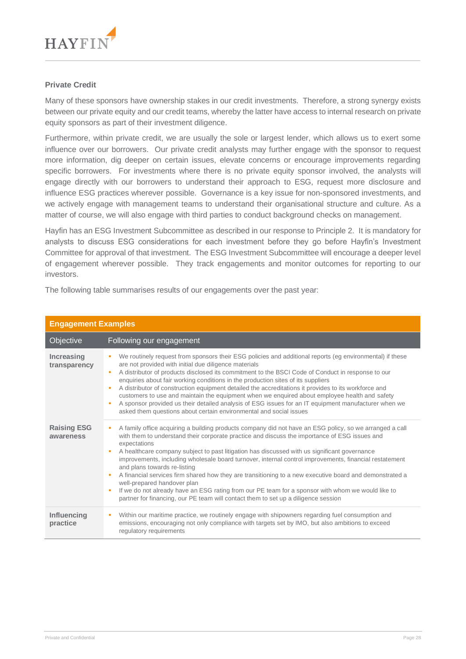

#### **Private Credit**

Many of these sponsors have ownership stakes in our credit investments. Therefore, a strong synergy exists between our private equity and our credit teams, whereby the latter have access to internal research on private equity sponsors as part of their investment diligence.

Furthermore, within private credit, we are usually the sole or largest lender, which allows us to exert some influence over our borrowers. Our private credit analysts may further engage with the sponsor to request more information, dig deeper on certain issues, elevate concerns or encourage improvements regarding specific borrowers. For investments where there is no private equity sponsor involved, the analysts will engage directly with our borrowers to understand their approach to ESG, request more disclosure and influence ESG practices wherever possible. Governance is a key issue for non-sponsored investments, and we actively engage with management teams to understand their organisational structure and culture. As a matter of course, we will also engage with third parties to conduct background checks on management.

Hayfin has an ESG Investment Subcommittee as described in our response to Principle 2. It is mandatory for analysts to discuss ESG considerations for each investment before they go before Hayfin's Investment Committee for approval of that investment. The ESG Investment Subcommittee will encourage a deeper level of engagement wherever possible. They track engagements and monitor outcomes for reporting to our investors.

The following table summarises results of our engagements over the past year:

| <b>Engagement Examples</b>      |                                                                                                                                                                                                                                                                                                                                                                                                                                                                                                                                                                                                                                                                                                                                                                                                                   |
|---------------------------------|-------------------------------------------------------------------------------------------------------------------------------------------------------------------------------------------------------------------------------------------------------------------------------------------------------------------------------------------------------------------------------------------------------------------------------------------------------------------------------------------------------------------------------------------------------------------------------------------------------------------------------------------------------------------------------------------------------------------------------------------------------------------------------------------------------------------|
| Objective                       | Following our engagement                                                                                                                                                                                                                                                                                                                                                                                                                                                                                                                                                                                                                                                                                                                                                                                          |
| Increasing<br>transparency      | We routinely request from sponsors their ESG policies and additional reports (eg environmental) if these<br>are not provided with initial due diligence materials<br>A distributor of products disclosed its commitment to the BSCI Code of Conduct in response to our<br>л<br>enquiries about fair working conditions in the production sites of its suppliers<br>A distributor of construction equipment detailed the accreditations it provides to its workforce and<br>customers to use and maintain the equipment when we enquired about employee health and safety<br>A sponsor provided us their detailed analysis of ESG issues for an IT equipment manufacturer when we<br>٠<br>asked them questions about certain environmental and social issues                                                       |
| <b>Raising ESG</b><br>awareness | A family office acquiring a building products company did not have an ESG policy, so we arranged a call<br>×<br>with them to understand their corporate practice and discuss the importance of ESG issues and<br>expectations<br>A healthcare company subject to past litigation has discussed with us significant governance<br>improvements, including wholesale board turnover, internal control improvements, financial restatement<br>and plans towards re-listing<br>A financial services firm shared how they are transitioning to a new executive board and demonstrated a<br>well-prepared handover plan<br>If we do not already have an ESG rating from our PE team for a sponsor with whom we would like to<br>٠<br>partner for financing, our PE team will contact them to set up a diligence session |
| Influencing<br>practice         | Within our maritime practice, we routinely engage with shipowners regarding fuel consumption and<br>п<br>emissions, encouraging not only compliance with targets set by IMO, but also ambitions to exceed<br>regulatory requirements                                                                                                                                                                                                                                                                                                                                                                                                                                                                                                                                                                              |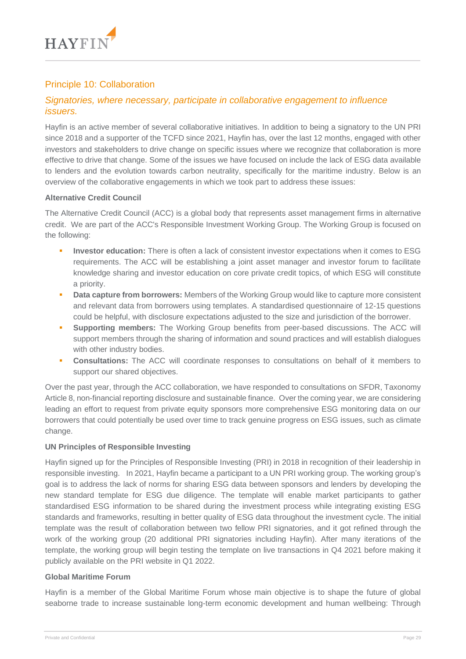

## Principle 10: Collaboration

## *Signatories, where necessary, participate in collaborative engagement to influence issuers.*

Hayfin is an active member of several collaborative initiatives. In addition to being a signatory to the UN PRI since 2018 and a supporter of the TCFD since 2021, Hayfin has, over the last 12 months, engaged with other investors and stakeholders to drive change on specific issues where we recognize that collaboration is more effective to drive that change. Some of the issues we have focused on include the lack of ESG data available to lenders and the evolution towards carbon neutrality, specifically for the maritime industry. Below is an overview of the collaborative engagements in which we took part to address these issues:

#### **Alternative Credit Council**

The Alternative Credit Council (ACC) is a global body that represents asset management firms in alternative credit. We are part of the ACC's Responsible Investment Working Group. The Working Group is focused on the following:

- **Investor education:** There is often a lack of consistent investor expectations when it comes to ESG requirements. The ACC will be establishing a joint asset manager and investor forum to facilitate knowledge sharing and investor education on core private credit topics, of which ESG will constitute a priority.
- **Data capture from borrowers:** Members of the Working Group would like to capture more consistent and relevant data from borrowers using templates. A standardised questionnaire of 12-15 questions could be helpful, with disclosure expectations adjusted to the size and jurisdiction of the borrower.
- **Supporting members:** The Working Group benefits from peer-based discussions. The ACC will support members through the sharing of information and sound practices and will establish dialogues with other industry bodies.
- **Consultations:** The ACC will coordinate responses to consultations on behalf of it members to support our shared objectives.

Over the past year, through the ACC collaboration, we have responded to consultations on SFDR, Taxonomy Article 8, non-financial reporting disclosure and sustainable finance. Over the coming year, we are considering leading an effort to request from private equity sponsors more comprehensive ESG monitoring data on our borrowers that could potentially be used over time to track genuine progress on ESG issues, such as climate change.

## **UN Principles of Responsible Investing**

Hayfin signed up for the Principles of Responsible Investing (PRI) in 2018 in recognition of their leadership in responsible investing. In 2021, Hayfin became a participant to a UN PRI working group. The working group's goal is to address the lack of norms for sharing ESG data between sponsors and lenders by developing the new standard template for ESG due diligence. The template will enable market participants to gather standardised ESG information to be shared during the investment process while integrating existing ESG standards and frameworks, resulting in better quality of ESG data throughout the investment cycle. The initial template was the result of collaboration between two fellow PRI signatories, and it got refined through the work of the working group (20 additional PRI signatories including Hayfin). After many iterations of the template, the working group will begin testing the template on live transactions in Q4 2021 before making it publicly available on the PRI website in Q1 2022.

#### **Global Maritime Forum**

Hayfin is a member of the Global Maritime Forum whose main objective is to shape the future of global seaborne trade to increase sustainable long-term economic development and human wellbeing: Through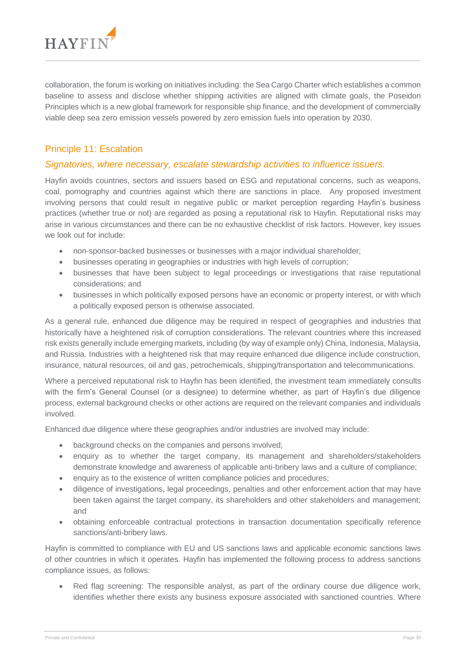

collaboration, the forum is working on initiatives including: the Sea Cargo Charter which establishes a common baseline to assess and disclose whether shipping activities are aligned with climate goals, the Poseidon Principles which is a new global framework for responsible ship finance, and the development of commercially viable deep sea zero emission vessels powered by zero emission fuels into operation by 2030.

## Principle 11: Escalation

## *Signatories, where necessary, escalate stewardship activities to influence issuers.*

Hayfin avoids countries, sectors and issuers based on ESG and reputational concerns, such as weapons, coal, pornography and countries against which there are sanctions in place. Any proposed investment involving persons that could result in negative public or market perception regarding Hayfin's business practices (whether true or not) are regarded as posing a reputational risk to Hayfin. Reputational risks may arise in various circumstances and there can be no exhaustive checklist of risk factors. However, key issues we look out for include:

- non-sponsor-backed businesses or businesses with a major individual shareholder;
- businesses operating in geographies or industries with high levels of corruption;
- businesses that have been subject to legal proceedings or investigations that raise reputational considerations; and
- businesses in which politically exposed persons have an economic or property interest, or with which a politically exposed person is otherwise associated.

As a general rule, enhanced due diligence may be required in respect of geographies and industries that historically have a heightened risk of corruption considerations. The relevant countries where this increased risk exists generally include emerging markets, including (by way of example only) China, Indonesia, Malaysia, and Russia. Industries with a heightened risk that may require enhanced due diligence include construction, insurance, natural resources, oil and gas, petrochemicals, shipping/transportation and telecommunications.

Where a perceived reputational risk to Hayfin has been identified, the investment team immediately consults with the firm's General Counsel (or a designee) to determine whether, as part of Hayfin's due diligence process, external background checks or other actions are required on the relevant companies and individuals involved.

Enhanced due diligence where these geographies and/or industries are involved may include:

- background checks on the companies and persons involved:
- enquiry as to whether the target company, its management and shareholders/stakeholders demonstrate knowledge and awareness of applicable anti-bribery laws and a culture of compliance;
- enquiry as to the existence of written compliance policies and procedures;
- diligence of investigations, legal proceedings, penalties and other enforcement action that may have been taken against the target company, its shareholders and other stakeholders and management; and
- obtaining enforceable contractual protections in transaction documentation specifically reference sanctions/anti-bribery laws.

Hayfin is committed to compliance with EU and US sanctions laws and applicable economic sanctions laws of other countries in which it operates. Hayfin has implemented the following process to address sanctions compliance issues, as follows:

Red flag screening: The responsible analyst, as part of the ordinary course due diligence work, identifies whether there exists any business exposure associated with sanctioned countries. Where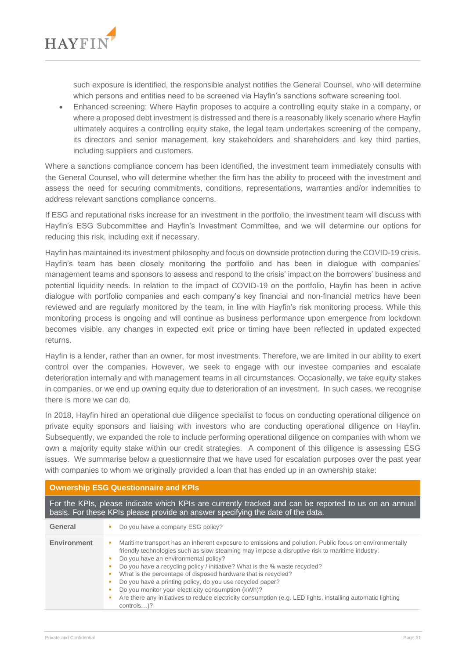

such exposure is identified, the responsible analyst notifies the General Counsel, who will determine which persons and entities need to be screened via Hayfin's sanctions software screening tool.

• Enhanced screening: Where Hayfin proposes to acquire a controlling equity stake in a company, or where a proposed debt investment is distressed and there is a reasonably likely scenario where Hayfin ultimately acquires a controlling equity stake, the legal team undertakes screening of the company, its directors and senior management, key stakeholders and shareholders and key third parties, including suppliers and customers.

Where a sanctions compliance concern has been identified, the investment team immediately consults with the General Counsel, who will determine whether the firm has the ability to proceed with the investment and assess the need for securing commitments, conditions, representations, warranties and/or indemnities to address relevant sanctions compliance concerns.

If ESG and reputational risks increase for an investment in the portfolio, the investment team will discuss with Hayfin's ESG Subcommittee and Hayfin's Investment Committee, and we will determine our options for reducing this risk, including exit if necessary.

Hayfin has maintained its investment philosophy and focus on downside protection during the COVID-19 crisis. Hayfin's team has been closely monitoring the portfolio and has been in dialogue with companies' management teams and sponsors to assess and respond to the crisis' impact on the borrowers' business and potential liquidity needs. In relation to the impact of COVID-19 on the portfolio, Hayfin has been in active dialogue with portfolio companies and each company's key financial and non-financial metrics have been reviewed and are regularly monitored by the team, in line with Hayfin's risk monitoring process. While this monitoring process is ongoing and will continue as business performance upon emergence from lockdown becomes visible, any changes in expected exit price or timing have been reflected in updated expected returns.

Hayfin is a lender, rather than an owner, for most investments. Therefore, we are limited in our ability to exert control over the companies. However, we seek to engage with our investee companies and escalate deterioration internally and with management teams in all circumstances. Occasionally, we take equity stakes in companies, or we end up owning equity due to deterioration of an investment. In such cases, we recognise there is more we can do.

In 2018, Hayfin hired an operational due diligence specialist to focus on conducting operational diligence on private equity sponsors and liaising with investors who are conducting operational diligence on Hayfin. Subsequently, we expanded the role to include performing operational diligence on companies with whom we own a majority equity stake within our credit strategies. A component of this diligence is assessing ESG issues. We summarise below a questionnaire that we have used for escalation purposes over the past year with companies to whom we originally provided a loan that has ended up in an ownership stake:

#### **Ownership ESG Questionnaire and KPIs**

For the KPIs, please indicate which KPIs are currently tracked and can be reported to us on an annual basis. For these KPIs please provide an answer specifying the date of the data.

| General            | Do you have a company ESG policy?                                                                                                                                                                                                                                                                                                                                                                                                                                                                                                                                                                                                                |
|--------------------|--------------------------------------------------------------------------------------------------------------------------------------------------------------------------------------------------------------------------------------------------------------------------------------------------------------------------------------------------------------------------------------------------------------------------------------------------------------------------------------------------------------------------------------------------------------------------------------------------------------------------------------------------|
| <b>Environment</b> | Maritime transport has an inherent exposure to emissions and pollution. Public focus on environmentally<br>friendly technologies such as slow steaming may impose a disruptive risk to maritime industry.<br>Do you have an environmental policy?<br>Do you have a recycling policy / initiative? What is the % waste recycled?<br>What is the percentage of disposed hardware that is recycled?<br>Do you have a printing policy, do you use recycled paper?<br>Do you monitor your electricity consumption (kWh)?<br>Are there any initiatives to reduce electricity consumption (e.g. LED lights, installing automatic lighting<br>controls)? |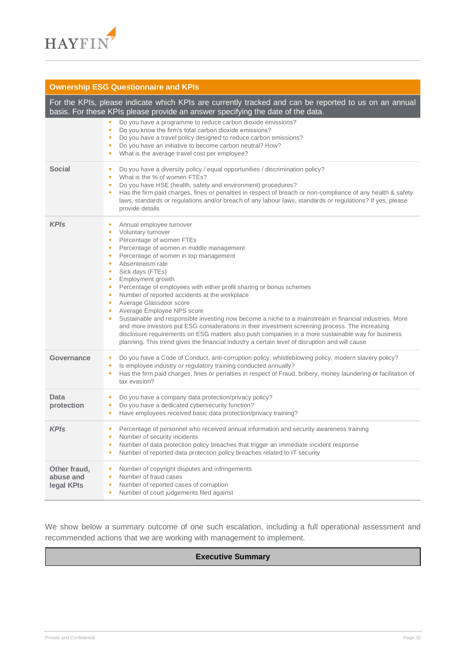

## **Ownership ESG Questionnaire and KPIs**

|                                         | For the KPIs, please indicate which KPIs are currently tracked and can be reported to us on an annual<br>basis. For these KPIs please provide an answer specifying the date of the data.                                                                                                                                                                                                                                                                                                                                                                                                                                                                                                                                                                                                                                                                                            |
|-----------------------------------------|-------------------------------------------------------------------------------------------------------------------------------------------------------------------------------------------------------------------------------------------------------------------------------------------------------------------------------------------------------------------------------------------------------------------------------------------------------------------------------------------------------------------------------------------------------------------------------------------------------------------------------------------------------------------------------------------------------------------------------------------------------------------------------------------------------------------------------------------------------------------------------------|
|                                         | Do you have a programme to reduce carbon dioxide emissions?<br>Do you know the firm's total carbon dioxide emissions?<br>٠<br>Do you have a travel policy designed to reduce carbon emissions?<br>٠<br>Do you have an initiative to become carbon neutral? How?<br>٠<br>What is the average travel cost per employee?                                                                                                                                                                                                                                                                                                                                                                                                                                                                                                                                                               |
| <b>Social</b>                           | Do you have a diversity policy / equal opportunities / discrimination policy?<br>٠<br>What is the % of women FTEs?<br>٠<br>Do you have HSE (health, safety and environment) procedures?<br>٠<br>Has the firm paid charges, fines or penalties in respect of breach or non-compliance of any health & safety<br>٠<br>laws, standards or regulations and/or breach of any labour laws, standards or regulations? If yes, please<br>provide details                                                                                                                                                                                                                                                                                                                                                                                                                                    |
| <b>KPIs</b>                             | Annual employee turnover<br>Voluntary turnover<br>٠<br>Percentage of women FTEs<br>٠<br>Percentage of women in middle management<br>Percentage of women in top management<br>٠<br>Absenteeism rate<br>٠<br>Sick days (FTEs)<br>٠<br>Employment growth<br>٠<br>Percentage of employees with either profit sharing or bonus schemes<br>٠<br>Number of reported accidents at the workplace<br>٠<br>Average Glassdoor score<br>٠<br>Average Employee NPS score<br>٠<br>Sustainable and responsible investing now become a niche to a mainstream in financial industries. More<br>and more investors put ESG considerations in their investment screening process. The increasing<br>disclosure requirements on ESG matters also push companies in a more sustainable way for business<br>planning. This trend gives the financial industry a certain level of disruption and will cause |
| Governance                              | Do you have a Code of Conduct, anti-corruption policy, whistleblowing policy, modern slavery policy?<br>٠<br>Is employee industry or regulatory training conducted annually?<br>٠<br>Has the firm paid charges, fines or penalties in respect of Fraud, bribery, money laundering or facilitation of<br>٠<br>tax evasion?                                                                                                                                                                                                                                                                                                                                                                                                                                                                                                                                                           |
| Data<br>protection                      | Do you have a company data protection/privacy policy?<br>Do you have a dedicated cybersecurity function?<br>٠<br>Have employees received basic data protection/privacy training?<br>٠                                                                                                                                                                                                                                                                                                                                                                                                                                                                                                                                                                                                                                                                                               |
| <b>KPIs</b>                             | Percentage of personnel who received annual information and security awareness training<br>Number of security incidents<br>Number of data protection policy breaches that trigger an immediate incident response<br>٠<br>Number of reported data protection policy breaches related to IT security<br>٠                                                                                                                                                                                                                                                                                                                                                                                                                                                                                                                                                                             |
| Other fraud,<br>abuse and<br>legal KPIs | Number of copyright disputes and infringements<br>٠<br>Number of fraud cases<br>٠<br>Number of reported cases of corruption<br>٠<br>Number of court judgements filed against<br>٠                                                                                                                                                                                                                                                                                                                                                                                                                                                                                                                                                                                                                                                                                                   |

We show below a summary outcome of one such escalation, including a full operational assessment and recommended actions that we are working with management to implement.

## **Executive Summary**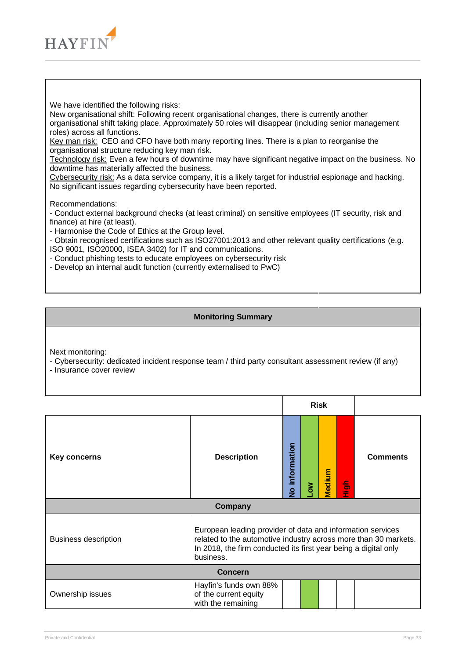

We have identified the following risks:

New organisational shift: Following recent organisational changes, there is currently another organisational shift taking place. Approximately 50 roles will disappear (including senior management roles) across all functions.

Key man risk: CEO and CFO have both many reporting lines. There is a plan to reorganise the organisational structure reducing key man risk.

Technology risk: Even a few hours of downtime may have significant negative impact on the business. No downtime has materially affected the business.

Cybersecurity risk: As a data service company, it is a likely target for industrial espionage and hacking. No significant issues regarding cybersecurity have been reported.

Recommendations:

- Conduct external background checks (at least criminal) on sensitive employees (IT security, risk and finance) at hire (at least).

- Harmonise the Code of Ethics at the Group level.

- Obtain recognised certifications such as ISO27001:2013 and other relevant quality certifications (e.g. ISO 9001, ISO20000, ISEA 3402) for IT and communications.

- Conduct phishing tests to educate employees on cybersecurity risk
- Develop an internal audit function (currently externalised to PwC)

#### **Monitoring Summary**

Next monitoring:

- Cybersecurity: dedicated incident response team / third party consultant assessment review (if any)
- Insurance cover review

|                                                                                                                                                                                                                                              |                                                                       | <b>Risk</b>                  |   |        |               |                 |
|----------------------------------------------------------------------------------------------------------------------------------------------------------------------------------------------------------------------------------------------|-----------------------------------------------------------------------|------------------------------|---|--------|---------------|-----------------|
| Key concerns                                                                                                                                                                                                                                 | <b>Description</b>                                                    | information<br>$\frac{9}{2}$ | Š | Medium | $\frac{5}{2}$ | <b>Comments</b> |
|                                                                                                                                                                                                                                              | Company                                                               |                              |   |        |               |                 |
| European leading provider of data and information services<br>related to the automotive industry across more than 30 markets.<br><b>Business description</b><br>In 2018, the firm conducted its first year being a digital only<br>business. |                                                                       |                              |   |        |               |                 |
| <b>Concern</b>                                                                                                                                                                                                                               |                                                                       |                              |   |        |               |                 |
| Ownership issues                                                                                                                                                                                                                             | Hayfin's funds own 88%<br>of the current equity<br>with the remaining |                              |   |        |               |                 |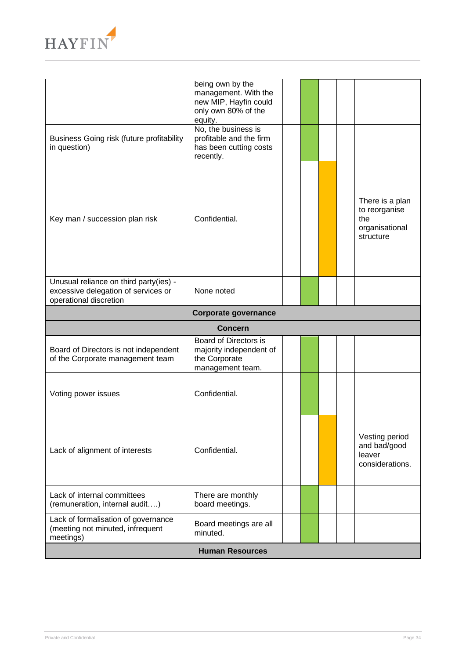

|                                                                                                         | being own by the                                  |  |  |  |  |                                                                        |
|---------------------------------------------------------------------------------------------------------|---------------------------------------------------|--|--|--|--|------------------------------------------------------------------------|
|                                                                                                         | management. With the                              |  |  |  |  |                                                                        |
|                                                                                                         | new MIP, Hayfin could<br>only own 80% of the      |  |  |  |  |                                                                        |
|                                                                                                         | equity.                                           |  |  |  |  |                                                                        |
|                                                                                                         | No, the business is                               |  |  |  |  |                                                                        |
| Business Going risk (future profitability<br>in question)                                               | profitable and the firm<br>has been cutting costs |  |  |  |  |                                                                        |
|                                                                                                         | recently.                                         |  |  |  |  |                                                                        |
| Key man / succession plan risk                                                                          | Confidential.                                     |  |  |  |  | There is a plan<br>to reorganise<br>the<br>organisational<br>structure |
| Unusual reliance on third party(ies) -<br>excessive delegation of services or<br>operational discretion | None noted                                        |  |  |  |  |                                                                        |
| <b>Corporate governance</b>                                                                             |                                                   |  |  |  |  |                                                                        |
|                                                                                                         | <b>Concern</b>                                    |  |  |  |  |                                                                        |
|                                                                                                         | Board of Directors is                             |  |  |  |  |                                                                        |
| Board of Directors is not independent<br>of the Corporate management team                               | majority independent of<br>the Corporate          |  |  |  |  |                                                                        |
|                                                                                                         | management team.                                  |  |  |  |  |                                                                        |
|                                                                                                         |                                                   |  |  |  |  |                                                                        |
| Voting power issues                                                                                     | Confidential.                                     |  |  |  |  |                                                                        |
| Lack of alignment of interests                                                                          | Confidential.                                     |  |  |  |  | Vesting period<br>and bad/good<br>leaver<br>considerations.            |
| Lack of internal committees<br>(remuneration, internal audit)                                           | There are monthly<br>board meetings.              |  |  |  |  |                                                                        |
| Lack of formalisation of governance<br>(meeting not minuted, infrequent<br>meetings)                    | Board meetings are all<br>minuted.                |  |  |  |  |                                                                        |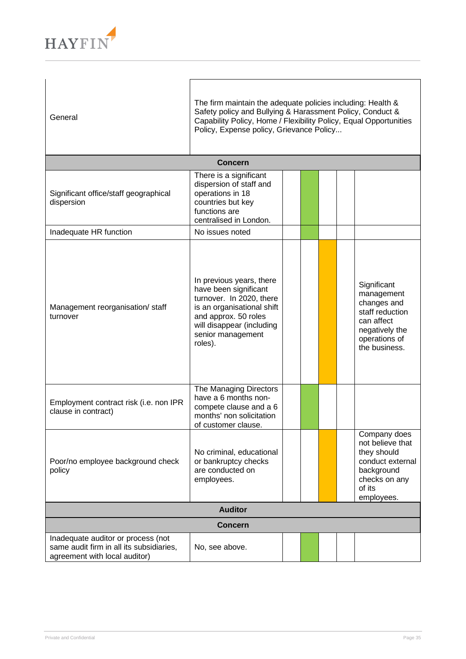

| General                                                                                                         | The firm maintain the adequate policies including: Health &<br>Safety policy and Bullying & Harassment Policy, Conduct &<br>Capability Policy, Home / Flexibility Policy, Equal Opportunities<br>Policy, Expense policy, Grievance Policy |  |  |  |  |                                                                                                                               |  |
|-----------------------------------------------------------------------------------------------------------------|-------------------------------------------------------------------------------------------------------------------------------------------------------------------------------------------------------------------------------------------|--|--|--|--|-------------------------------------------------------------------------------------------------------------------------------|--|
|                                                                                                                 | <b>Concern</b>                                                                                                                                                                                                                            |  |  |  |  |                                                                                                                               |  |
| Significant office/staff geographical<br>dispersion                                                             | There is a significant<br>dispersion of staff and<br>operations in 18<br>countries but key<br>functions are<br>centralised in London.                                                                                                     |  |  |  |  |                                                                                                                               |  |
| Inadequate HR function                                                                                          | No issues noted                                                                                                                                                                                                                           |  |  |  |  |                                                                                                                               |  |
| Management reorganisation/staff<br>turnover                                                                     | In previous years, there<br>have been significant<br>turnover. In 2020, there<br>is an organisational shift<br>and approx. 50 roles<br>will disappear (including<br>senior management<br>roles).                                          |  |  |  |  | Significant<br>management<br>changes and<br>staff reduction<br>can affect<br>negatively the<br>operations of<br>the business. |  |
| Employment contract risk (i.e. non IPR<br>clause in contract)                                                   | The Managing Directors<br>have a 6 months non-<br>compete clause and a 6<br>months' non solicitation<br>of customer clause.                                                                                                               |  |  |  |  |                                                                                                                               |  |
| Poor/no employee background check<br>policy                                                                     | No criminal, educational<br>or bankruptcy checks<br>are conducted on<br>employees.                                                                                                                                                        |  |  |  |  | Company does<br>not believe that<br>they should<br>conduct external<br>background<br>checks on any<br>of its<br>employees.    |  |
| <b>Auditor</b>                                                                                                  |                                                                                                                                                                                                                                           |  |  |  |  |                                                                                                                               |  |
|                                                                                                                 | <b>Concern</b>                                                                                                                                                                                                                            |  |  |  |  |                                                                                                                               |  |
| Inadequate auditor or process (not<br>same audit firm in all its subsidiaries,<br>agreement with local auditor) | No, see above.                                                                                                                                                                                                                            |  |  |  |  |                                                                                                                               |  |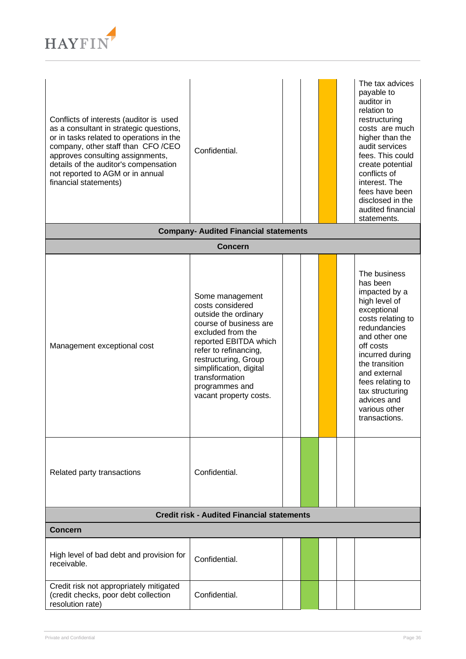

| Conflicts of interests (auditor is used<br>as a consultant in strategic questions,<br>or in tasks related to operations in the<br>company, other staff than CFO/CEO<br>approves consulting assignments,<br>details of the auditor's compensation<br>not reported to AGM or in annual<br>financial statements) | Confidential.                                                                                                                                                                                                                                                                 |  |  |  |  | The tax advices<br>payable to<br>auditor in<br>relation to<br>restructuring<br>costs are much<br>higher than the<br>audit services<br>fees. This could<br>create potential<br>conflicts of<br>interest. The<br>fees have been<br>disclosed in the<br>audited financial<br>statements.     |
|---------------------------------------------------------------------------------------------------------------------------------------------------------------------------------------------------------------------------------------------------------------------------------------------------------------|-------------------------------------------------------------------------------------------------------------------------------------------------------------------------------------------------------------------------------------------------------------------------------|--|--|--|--|-------------------------------------------------------------------------------------------------------------------------------------------------------------------------------------------------------------------------------------------------------------------------------------------|
|                                                                                                                                                                                                                                                                                                               | <b>Company- Audited Financial statements</b>                                                                                                                                                                                                                                  |  |  |  |  |                                                                                                                                                                                                                                                                                           |
|                                                                                                                                                                                                                                                                                                               | <b>Concern</b>                                                                                                                                                                                                                                                                |  |  |  |  |                                                                                                                                                                                                                                                                                           |
| Management exceptional cost                                                                                                                                                                                                                                                                                   | Some management<br>costs considered<br>outside the ordinary<br>course of business are<br>excluded from the<br>reported EBITDA which<br>refer to refinancing,<br>restructuring, Group<br>simplification, digital<br>transformation<br>programmes and<br>vacant property costs. |  |  |  |  | The business<br>has been<br>impacted by a<br>high level of<br>exceptional<br>costs relating to<br>redundancies<br>and other one<br>off costs<br>incurred during<br>the transition<br>and external<br>fees relating to<br>tax structuring<br>advices and<br>various other<br>transactions. |
| Related party transactions                                                                                                                                                                                                                                                                                    | Confidential.                                                                                                                                                                                                                                                                 |  |  |  |  |                                                                                                                                                                                                                                                                                           |
| <b>Credit risk - Audited Financial statements</b>                                                                                                                                                                                                                                                             |                                                                                                                                                                                                                                                                               |  |  |  |  |                                                                                                                                                                                                                                                                                           |
| <b>Concern</b>                                                                                                                                                                                                                                                                                                |                                                                                                                                                                                                                                                                               |  |  |  |  |                                                                                                                                                                                                                                                                                           |
| High level of bad debt and provision for<br>receivable.                                                                                                                                                                                                                                                       | Confidential.                                                                                                                                                                                                                                                                 |  |  |  |  |                                                                                                                                                                                                                                                                                           |
| Credit risk not appropriately mitigated<br>(credit checks, poor debt collection<br>resolution rate)                                                                                                                                                                                                           | Confidential.                                                                                                                                                                                                                                                                 |  |  |  |  |                                                                                                                                                                                                                                                                                           |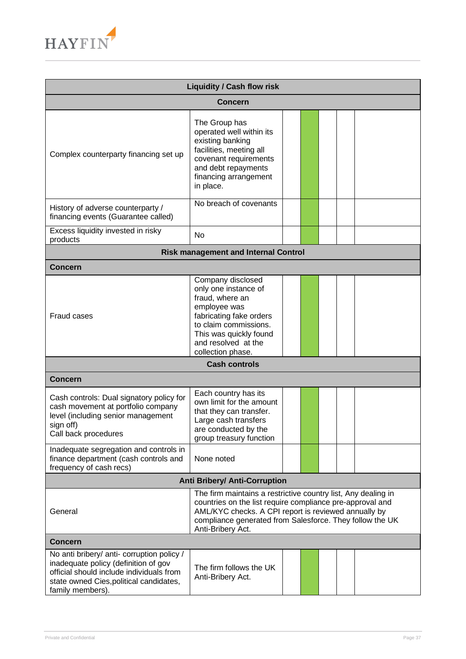

| <b>Liquidity / Cash flow risk</b>                                                                                                                                                                   |                                                                                                                                                                                                                                                                     |  |  |  |  |  |
|-----------------------------------------------------------------------------------------------------------------------------------------------------------------------------------------------------|---------------------------------------------------------------------------------------------------------------------------------------------------------------------------------------------------------------------------------------------------------------------|--|--|--|--|--|
|                                                                                                                                                                                                     | <b>Concern</b>                                                                                                                                                                                                                                                      |  |  |  |  |  |
| Complex counterparty financing set up                                                                                                                                                               | The Group has<br>operated well within its<br>existing banking<br>facilities, meeting all<br>covenant requirements<br>and debt repayments<br>financing arrangement<br>in place.                                                                                      |  |  |  |  |  |
| History of adverse counterparty /<br>financing events (Guarantee called)                                                                                                                            | No breach of covenants                                                                                                                                                                                                                                              |  |  |  |  |  |
| Excess liquidity invested in risky<br>products                                                                                                                                                      | <b>No</b>                                                                                                                                                                                                                                                           |  |  |  |  |  |
|                                                                                                                                                                                                     | <b>Risk management and Internal Control</b>                                                                                                                                                                                                                         |  |  |  |  |  |
| <b>Concern</b>                                                                                                                                                                                      |                                                                                                                                                                                                                                                                     |  |  |  |  |  |
| Fraud cases                                                                                                                                                                                         | Company disclosed<br>only one instance of<br>fraud, where an<br>employee was<br>fabricating fake orders<br>to claim commissions.<br>This was quickly found<br>and resolved at the<br>collection phase.                                                              |  |  |  |  |  |
|                                                                                                                                                                                                     | <b>Cash controls</b>                                                                                                                                                                                                                                                |  |  |  |  |  |
| <b>Concern</b>                                                                                                                                                                                      |                                                                                                                                                                                                                                                                     |  |  |  |  |  |
| Cash controls: Dual signatory policy for<br>cash movement at portfolio company<br>level (including senior management<br>sign off)<br>Call back procedures<br>Inadequate segregation and controls in | Each country has its<br>own limit for the amount<br>that they can transfer.<br>Large cash transfers<br>are conducted by the<br>group treasury function                                                                                                              |  |  |  |  |  |
| finance department (cash controls and<br>frequency of cash recs)                                                                                                                                    | None noted                                                                                                                                                                                                                                                          |  |  |  |  |  |
|                                                                                                                                                                                                     | <b>Anti Bribery/ Anti-Corruption</b>                                                                                                                                                                                                                                |  |  |  |  |  |
| General                                                                                                                                                                                             | The firm maintains a restrictive country list, Any dealing in<br>countries on the list require compliance pre-approval and<br>AML/KYC checks. A CPI report is reviewed annually by<br>compliance generated from Salesforce. They follow the UK<br>Anti-Bribery Act. |  |  |  |  |  |
| <b>Concern</b>                                                                                                                                                                                      |                                                                                                                                                                                                                                                                     |  |  |  |  |  |
| No anti bribery/ anti- corruption policy /<br>inadequate policy (definition of gov<br>official should include individuals from<br>state owned Cies, political candidates,<br>family members).       | The firm follows the UK<br>Anti-Bribery Act.                                                                                                                                                                                                                        |  |  |  |  |  |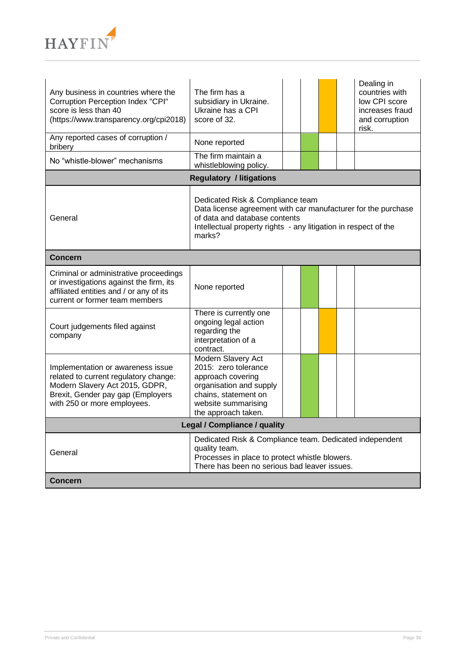

| Any business in countries where the<br>Corruption Perception Index "CPI"<br>score is less than 40<br>(https://www.transparency.org/cpi2018)                                                                                | The firm has a<br>subsidiary in Ukraine.<br>Ukraine has a CPI<br>score of 32.                                                                                    |  |  |  |  | Dealing in<br>countries with<br>low CPI score<br>increases fraud<br>and corruption<br>risk. |  |
|----------------------------------------------------------------------------------------------------------------------------------------------------------------------------------------------------------------------------|------------------------------------------------------------------------------------------------------------------------------------------------------------------|--|--|--|--|---------------------------------------------------------------------------------------------|--|
| Any reported cases of corruption /<br>bribery                                                                                                                                                                              | None reported                                                                                                                                                    |  |  |  |  |                                                                                             |  |
| No "whistle-blower" mechanisms                                                                                                                                                                                             | The firm maintain a<br>whistleblowing policy.                                                                                                                    |  |  |  |  |                                                                                             |  |
|                                                                                                                                                                                                                            | <b>Regulatory / litigations</b>                                                                                                                                  |  |  |  |  |                                                                                             |  |
| Dedicated Risk & Compliance team<br>Data license agreement with car manufacturer for the purchase<br>General<br>of data and database contents<br>Intellectual property rights - any litigation in respect of the<br>marks? |                                                                                                                                                                  |  |  |  |  |                                                                                             |  |
| <b>Concern</b>                                                                                                                                                                                                             |                                                                                                                                                                  |  |  |  |  |                                                                                             |  |
| Criminal or administrative proceedings<br>or investigations against the firm, its<br>affiliated entities and / or any of its<br>current or former team members                                                             | None reported                                                                                                                                                    |  |  |  |  |                                                                                             |  |
| Court judgements filed against<br>company                                                                                                                                                                                  | There is currently one<br>ongoing legal action<br>regarding the<br>interpretation of a<br>contract.                                                              |  |  |  |  |                                                                                             |  |
| Implementation or awareness issue<br>related to current regulatory change:<br>Modern Slavery Act 2015, GDPR,<br>Brexit, Gender pay gap (Employers<br>with 250 or more employees.                                           | Modern Slavery Act<br>2015: zero tolerance<br>approach covering<br>organisation and supply<br>chains, statement on<br>website summarising<br>the approach taken. |  |  |  |  |                                                                                             |  |
|                                                                                                                                                                                                                            | <b>Legal / Compliance / quality</b>                                                                                                                              |  |  |  |  |                                                                                             |  |
| Dedicated Risk & Compliance team. Dedicated independent<br>quality team.<br>General<br>Processes in place to protect whistle blowers.<br>There has been no serious bad leaver issues.                                      |                                                                                                                                                                  |  |  |  |  |                                                                                             |  |
| <b>Concern</b>                                                                                                                                                                                                             |                                                                                                                                                                  |  |  |  |  |                                                                                             |  |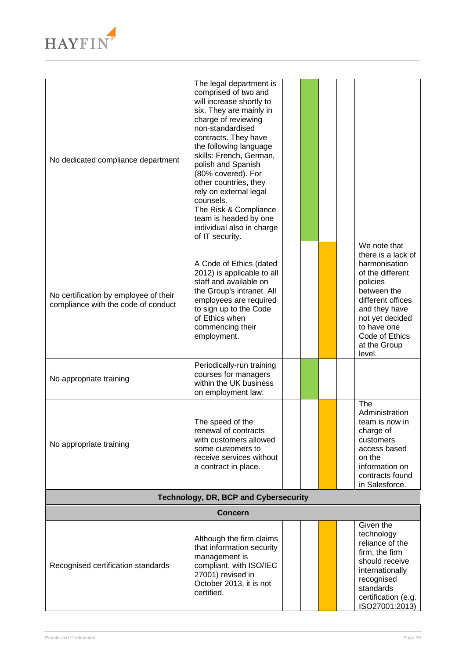

| No dedicated compliance department                                           | The legal department is<br>comprised of two and<br>will increase shortly to<br>six. They are mainly in<br>charge of reviewing<br>non-standardised<br>contracts. They have<br>the following language<br>skills: French, German,<br>polish and Spanish<br>(80% covered). For<br>other countries, they<br>rely on external legal<br>counsels.<br>The Risk & Compliance<br>team is headed by one<br>individual also in charge<br>of IT security. |  |  |  |  |                                                                                                                                                                                                                        |  |
|------------------------------------------------------------------------------|----------------------------------------------------------------------------------------------------------------------------------------------------------------------------------------------------------------------------------------------------------------------------------------------------------------------------------------------------------------------------------------------------------------------------------------------|--|--|--|--|------------------------------------------------------------------------------------------------------------------------------------------------------------------------------------------------------------------------|--|
| No certification by employee of their<br>compliance with the code of conduct | A Code of Ethics (dated<br>2012) is applicable to all<br>staff and available on<br>the Group's intranet. All<br>employees are required<br>to sign up to the Code<br>of Ethics when<br>commencing their<br>employment.                                                                                                                                                                                                                        |  |  |  |  | We note that<br>there is a lack of<br>harmonisation<br>of the different<br>policies<br>between the<br>different offices<br>and they have<br>not yet decided<br>to have one<br>Code of Ethics<br>at the Group<br>level. |  |
| No appropriate training                                                      | Periodically-run training<br>courses for managers<br>within the UK business<br>on employment law.                                                                                                                                                                                                                                                                                                                                            |  |  |  |  |                                                                                                                                                                                                                        |  |
| No appropriate training                                                      | The speed of the<br>renewal of contracts<br>with customers allowed<br>some customers to<br>receive services without<br>a contract in place.                                                                                                                                                                                                                                                                                                  |  |  |  |  | The<br>Administration<br>team is now in<br>charge of<br>customers<br>access based<br>on the<br>information on<br>contracts found<br>in Salesforce.                                                                     |  |
| Technology, DR, BCP and Cybersecurity                                        |                                                                                                                                                                                                                                                                                                                                                                                                                                              |  |  |  |  |                                                                                                                                                                                                                        |  |
|                                                                              | <b>Concern</b>                                                                                                                                                                                                                                                                                                                                                                                                                               |  |  |  |  |                                                                                                                                                                                                                        |  |
| Recognised certification standards                                           | Although the firm claims<br>that information security<br>management is<br>compliant, with ISO/IEC<br>27001) revised in<br>October 2013, it is not<br>certified.                                                                                                                                                                                                                                                                              |  |  |  |  | Given the<br>technology<br>reliance of the<br>firm, the firm<br>should receive<br>internationally<br>recognised<br>standards<br>certification (e.g.<br>ISO27001:2013)                                                  |  |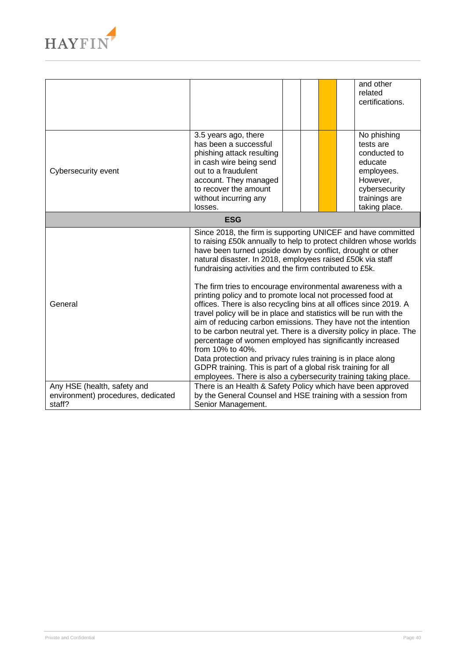

|                                                                             |                                                                                                                                                                                                                                                                                                                                                                                                                                                                                                                                                                                                                                                                                                                                                                                                                                                                                                                                                                                                                              |  |  |  | and other<br>related<br>certifications.                                                                                          |  |  |
|-----------------------------------------------------------------------------|------------------------------------------------------------------------------------------------------------------------------------------------------------------------------------------------------------------------------------------------------------------------------------------------------------------------------------------------------------------------------------------------------------------------------------------------------------------------------------------------------------------------------------------------------------------------------------------------------------------------------------------------------------------------------------------------------------------------------------------------------------------------------------------------------------------------------------------------------------------------------------------------------------------------------------------------------------------------------------------------------------------------------|--|--|--|----------------------------------------------------------------------------------------------------------------------------------|--|--|
| Cybersecurity event                                                         | 3.5 years ago, there<br>has been a successful<br>phishing attack resulting<br>in cash wire being send<br>out to a fraudulent<br>account. They managed<br>to recover the amount<br>without incurring any<br>losses.                                                                                                                                                                                                                                                                                                                                                                                                                                                                                                                                                                                                                                                                                                                                                                                                           |  |  |  | No phishing<br>tests are<br>conducted to<br>educate<br>employees.<br>However,<br>cybersecurity<br>trainings are<br>taking place. |  |  |
| <b>ESG</b>                                                                  |                                                                                                                                                                                                                                                                                                                                                                                                                                                                                                                                                                                                                                                                                                                                                                                                                                                                                                                                                                                                                              |  |  |  |                                                                                                                                  |  |  |
| General                                                                     | Since 2018, the firm is supporting UNICEF and have committed<br>to raising £50k annually to help to protect children whose worlds<br>have been turned upside down by conflict, drought or other<br>natural disaster. In 2018, employees raised £50k via staff<br>fundraising activities and the firm contributed to £5k.<br>The firm tries to encourage environmental awareness with a<br>printing policy and to promote local not processed food at<br>offices. There is also recycling bins at all offices since 2019. A<br>travel policy will be in place and statistics will be run with the<br>aim of reducing carbon emissions. They have not the intention<br>to be carbon neutral yet. There is a diversity policy in place. The<br>percentage of women employed has significantly increased<br>from 10% to 40%.<br>Data protection and privacy rules training is in place along<br>GDPR training. This is part of a global risk training for all<br>employees. There is also a cybersecurity training taking place. |  |  |  |                                                                                                                                  |  |  |
| Any HSE (health, safety and<br>environment) procedures, dedicated<br>staff? | There is an Health & Safety Policy which have been approved<br>by the General Counsel and HSE training with a session from<br>Senior Management.                                                                                                                                                                                                                                                                                                                                                                                                                                                                                                                                                                                                                                                                                                                                                                                                                                                                             |  |  |  |                                                                                                                                  |  |  |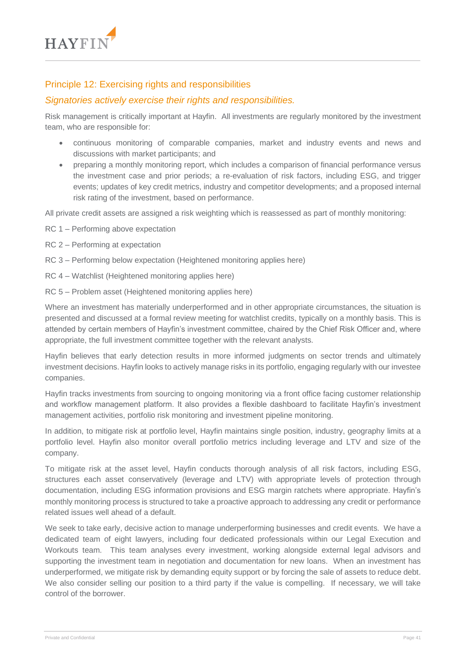

## Principle 12: Exercising rights and responsibilities

### *Signatories actively exercise their rights and responsibilities.*

Risk management is critically important at Hayfin. All investments are regularly monitored by the investment team, who are responsible for:

- continuous monitoring of comparable companies, market and industry events and news and discussions with market participants; and
- preparing a monthly monitoring report, which includes a comparison of financial performance versus the investment case and prior periods; a re-evaluation of risk factors, including ESG, and trigger events; updates of key credit metrics, industry and competitor developments; and a proposed internal risk rating of the investment, based on performance.

All private credit assets are assigned a risk weighting which is reassessed as part of monthly monitoring:

- RC 1 Performing above expectation
- RC 2 Performing at expectation
- RC 3 Performing below expectation (Heightened monitoring applies here)
- RC 4 Watchlist (Heightened monitoring applies here)
- RC 5 Problem asset (Heightened monitoring applies here)

Where an investment has materially underperformed and in other appropriate circumstances, the situation is presented and discussed at a formal review meeting for watchlist credits, typically on a monthly basis. This is attended by certain members of Hayfin's investment committee, chaired by the Chief Risk Officer and, where appropriate, the full investment committee together with the relevant analysts.

Hayfin believes that early detection results in more informed judgments on sector trends and ultimately investment decisions. Hayfin looks to actively manage risks in its portfolio, engaging regularly with our investee companies.

Hayfin tracks investments from sourcing to ongoing monitoring via a front office facing customer relationship and workflow management platform. It also provides a flexible dashboard to facilitate Hayfin's investment management activities, portfolio risk monitoring and investment pipeline monitoring.

In addition, to mitigate risk at portfolio level, Hayfin maintains single position, industry, geography limits at a portfolio level. Hayfin also monitor overall portfolio metrics including leverage and LTV and size of the company.

To mitigate risk at the asset level, Hayfin conducts thorough analysis of all risk factors, including ESG, structures each asset conservatively (leverage and LTV) with appropriate levels of protection through documentation, including ESG information provisions and ESG margin ratchets where appropriate. Hayfin's monthly monitoring process is structured to take a proactive approach to addressing any credit or performance related issues well ahead of a default.

We seek to take early, decisive action to manage underperforming businesses and credit events. We have a dedicated team of eight lawyers, including four dedicated professionals within our Legal Execution and Workouts team. This team analyses every investment, working alongside external legal advisors and supporting the investment team in negotiation and documentation for new loans. When an investment has underperformed, we mitigate risk by demanding equity support or by forcing the sale of assets to reduce debt. We also consider selling our position to a third party if the value is compelling. If necessary, we will take control of the borrower.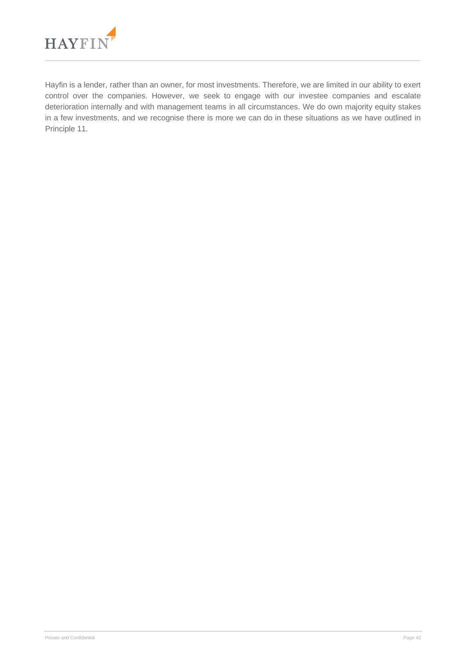

Hayfin is a lender, rather than an owner, for most investments. Therefore, we are limited in our ability to exert control over the companies. However, we seek to engage with our investee companies and escalate deterioration internally and with management teams in all circumstances. We do own majority equity stakes in a few investments, and we recognise there is more we can do in these situations as we have outlined in Principle 11.